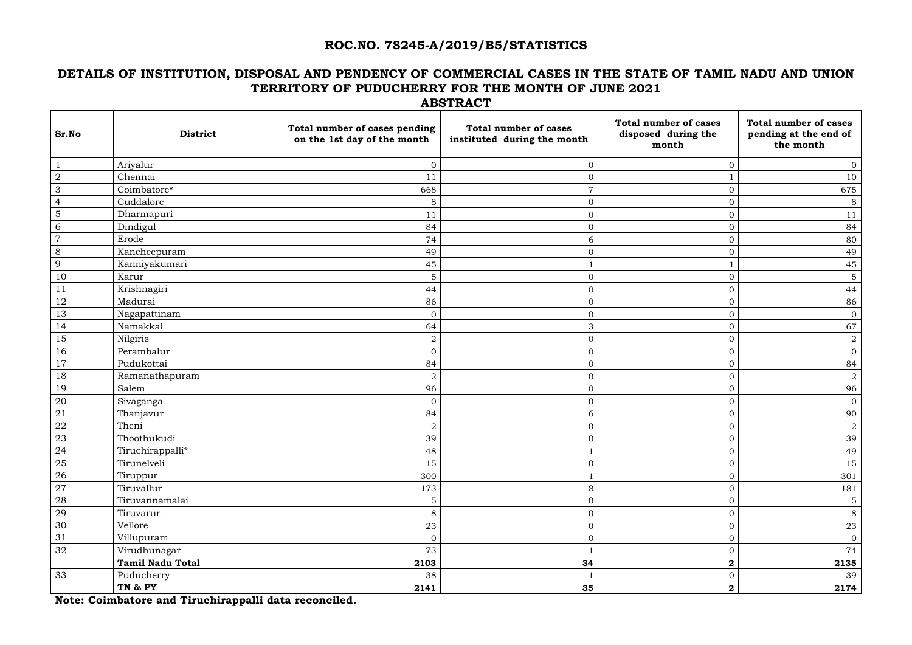#### **ROC.NO. 78245-A/2019/B5/STATISTICS**

# **DETAILS OF INSTITUTION, DISPOSAL AND PENDENCY OF COMMERCIAL CASES IN THE STATE OF TAMIL NADU AND UNION TERRITORY OF PUDUCHERRY FOR THE MONTH OF JUNE 2021 ABSTRACT**

| Sr.No          | <b>District</b>         | Total number of cases pending<br>on the 1st day of the month | <b>Total number of cases</b><br>instituted during the month | <b>Total number of cases</b><br>disposed during the<br>month | <b>Total number of cases</b><br>pending at the end of<br>the month |
|----------------|-------------------------|--------------------------------------------------------------|-------------------------------------------------------------|--------------------------------------------------------------|--------------------------------------------------------------------|
|                | Ariyalur                | $\overline{O}$                                               | $\mathbf{0}$                                                | $\Omega$                                                     | $\overline{0}$                                                     |
| $\overline{2}$ | Chennai                 | 11                                                           | $\mathbf{0}$                                                |                                                              | 10                                                                 |
| 3              | Coimbatore*             | 668                                                          | 7                                                           | $\overline{0}$                                               | 675                                                                |
| $\overline{4}$ | Cuddalore               | 8                                                            | $\overline{0}$                                              | $\mathbf{0}$                                                 | 8                                                                  |
| 5              | Dharmapuri              | 11                                                           | $\mathbf{0}$                                                | $\mathbf{0}$                                                 | 11                                                                 |
| 6              | Dindigul                | 84                                                           | $\overline{0}$                                              | $\overline{0}$                                               | 84                                                                 |
| $\overline{7}$ | Erode                   | 74                                                           | 6                                                           | $\mathbf{0}$                                                 | 80                                                                 |
| 8              | Kancheepuram            | 49                                                           | $\overline{0}$                                              | $\overline{0}$                                               | 49                                                                 |
| 9              | Kanniyakumari           | 45                                                           |                                                             |                                                              | 45                                                                 |
| 10             | Karur                   | 5                                                            | $\overline{0}$                                              | $\overline{0}$                                               | $\overline{5}$                                                     |
| 11             | Krishnagiri             | 44                                                           | $\overline{0}$                                              | $\mathbf{0}$                                                 | 44                                                                 |
| 12             | Madurai                 | 86                                                           | $\mathbf{O}$                                                | $\Omega$                                                     | 86                                                                 |
| 13             | Nagapattinam            | $\mathbf{0}$                                                 | $\overline{0}$                                              | $\mathbf{0}$                                                 | $\overline{0}$                                                     |
| 14             | Namakkal                | 64                                                           | 3                                                           | $\mathbf{0}$                                                 | 67                                                                 |
| 15             | Nilgiris                | $\sqrt{2}$                                                   | $\overline{0}$                                              | $\mathbf{0}$                                                 | $\sqrt{2}$                                                         |
| 16             | Perambalur              | $\overline{0}$                                               | $\overline{0}$                                              | $\overline{0}$                                               | $\overline{0}$                                                     |
| 17             | Pudukottai              | 84                                                           | $\overline{0}$                                              | $\mathbf{0}$                                                 | 84                                                                 |
| 18             | Ramanathapuram          | $\sqrt{2}$                                                   | $\overline{0}$                                              | $\mathbf{0}$                                                 | $\boldsymbol{2}$                                                   |
| 19             | Salem                   | 96                                                           | $\mathbf{0}$                                                | $\Omega$                                                     | 96                                                                 |
| 20             | Sivaganga               | $\boldsymbol{0}$                                             | $\overline{0}$                                              | $\overline{0}$                                               | $\mathbf{0}$                                                       |
| 21             | Thanjavur               | 84                                                           | 6                                                           | $\mathbf{0}$                                                 | 90                                                                 |
| 22             | Theni                   | $\overline{2}$                                               | $\mathbf{0}$                                                | $\overline{0}$                                               | $\overline{2}$                                                     |
| 23             | Thoothukudi             | 39                                                           | $\overline{0}$                                              | $\Omega$                                                     | 39                                                                 |
| 24             | Tiruchirappalli*        | 48                                                           |                                                             | $\Omega$                                                     | 49                                                                 |
| <b>25</b>      | Tirunelveli             | 15                                                           | $\overline{0}$                                              | $\overline{0}$                                               | 15                                                                 |
| 26             | Tiruppur                | 300                                                          |                                                             | $\overline{0}$                                               | 301                                                                |
| 27             | Tiruvallur              | 173                                                          | 8                                                           | $\mathbf{0}$                                                 | 181                                                                |
| 28             | Tiruvannamalai          | $\mathbf 5$                                                  | $\overline{0}$                                              | $\overline{0}$                                               | $5\phantom{.0}$                                                    |
| 29             | Tiruvarur               | $8\,$                                                        | $\overline{0}$                                              | $\overline{0}$                                               | $8\,$                                                              |
| 30             | Vellore                 | 23                                                           | $\overline{0}$                                              | $\overline{0}$                                               | 23                                                                 |
| 31             | Villupuram              | $\mathbf{0}$                                                 | $\overline{0}$                                              | $\overline{0}$                                               | $\mathbf{0}$                                                       |
| 32             | Virudhunagar            | 73                                                           |                                                             | $\overline{0}$                                               | 74                                                                 |
|                | <b>Tamil Nadu Total</b> | 2103                                                         | 34                                                          | $\boldsymbol{2}$                                             | 2135                                                               |
| 33             | Puducherry              | 38                                                           |                                                             | $\overline{0}$                                               | 39                                                                 |
|                | TN & PY                 | 2141                                                         | 35                                                          | $\boldsymbol{2}$                                             | 2174                                                               |

**Note: Coimbatore and Tiruchirappalli data reconciled.**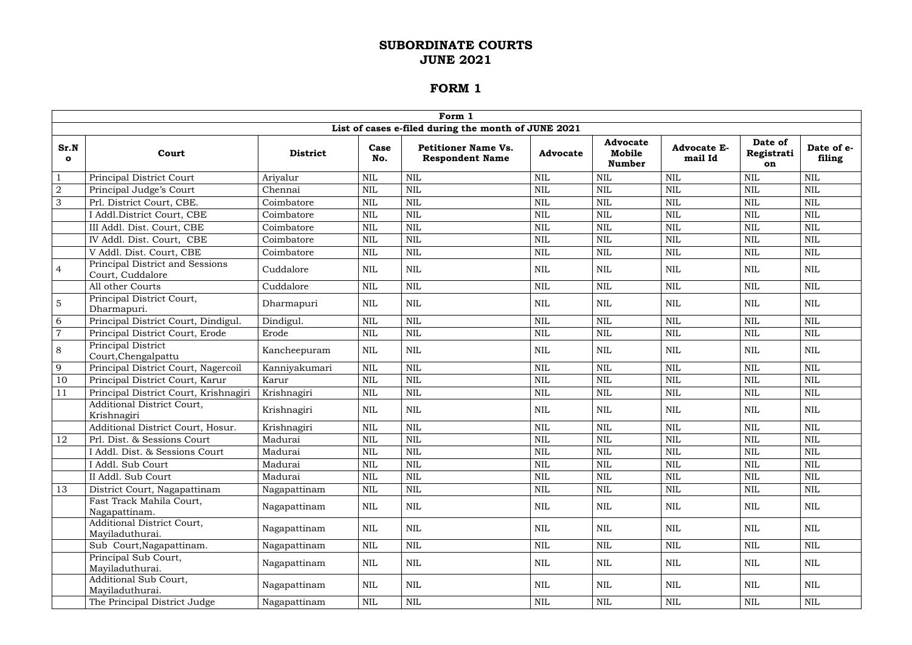|                      | Form 1                                               |                 |              |                                                      |                 |                                            |                               |                             |                      |  |  |  |
|----------------------|------------------------------------------------------|-----------------|--------------|------------------------------------------------------|-----------------|--------------------------------------------|-------------------------------|-----------------------------|----------------------|--|--|--|
|                      |                                                      |                 |              | List of cases e-filed during the month of JUNE 2021  |                 |                                            |                               |                             |                      |  |  |  |
| Sr.N<br>$\mathbf{o}$ | Court                                                | <b>District</b> | Case<br>No.  | <b>Petitioner Name Vs.</b><br><b>Respondent Name</b> | <b>Advocate</b> | <b>Advocate</b><br>Mobile<br><b>Number</b> | <b>Advocate E-</b><br>mail Id | Date of<br>Registrati<br>on | Date of e-<br>filing |  |  |  |
|                      | Principal District Court                             | Ariyalur        | $\mbox{NIL}$ | <b>NIL</b>                                           | <b>NIL</b>      | <b>NIL</b>                                 | $\mbox{NIL}$                  | <b>NIL</b>                  | <b>NIL</b>           |  |  |  |
| $\overline{2}$       | Principal Judge's Court                              | Chennai         | <b>NIL</b>   | <b>NIL</b>                                           | <b>NIL</b>      | <b>NIL</b>                                 | $\mbox{NIL}$                  | <b>NIL</b>                  | <b>NIL</b>           |  |  |  |
| 3                    | Prl. District Court, CBE.                            | Coimbatore      | <b>NIL</b>   | <b>NIL</b>                                           | <b>NIL</b>      | <b>NIL</b>                                 | $\mbox{NIL}$                  | <b>NIL</b>                  | $\mbox{NIL}$         |  |  |  |
|                      | I Addl.District Court, CBE                           | Coimbatore      | $\mbox{NIL}$ | <b>NIL</b>                                           | <b>NIL</b>      | <b>NIL</b>                                 | <b>NIL</b>                    | <b>NIL</b>                  | <b>NIL</b>           |  |  |  |
|                      | III Addl. Dist. Court, CBE                           | Coimbatore      | <b>NIL</b>   | <b>NIL</b>                                           | <b>NIL</b>      | <b>NIL</b>                                 | <b>NIL</b>                    | <b>NIL</b>                  | <b>NIL</b>           |  |  |  |
|                      | IV Addl. Dist. Court, CBE                            | Coimbatore      | $\mbox{NIL}$ | <b>NIL</b>                                           | <b>NIL</b>      | <b>NIL</b>                                 | $\mbox{NIL}$                  | $\mbox{NIL}$                | $\mbox{NIL}$         |  |  |  |
|                      | V Addl. Dist. Court, CBE                             | Coimbatore      | <b>NIL</b>   | <b>NIL</b>                                           | <b>NIL</b>      | $\text{NIL}$                               | $\mbox{NIL}$                  | <b>NIL</b>                  | $\mbox{NIL}$         |  |  |  |
| $\overline{4}$       | Principal District and Sessions<br>Court, Cuddalore  | Cuddalore       | <b>NIL</b>   | <b>NIL</b>                                           | <b>NIL</b>      | <b>NIL</b>                                 | <b>NIL</b>                    | <b>NIL</b>                  | <b>NIL</b>           |  |  |  |
|                      | All other Courts                                     | Cuddalore       | <b>NIL</b>   | <b>NIL</b>                                           | <b>NIL</b>      | <b>NIL</b>                                 | <b>NIL</b>                    | <b>NIL</b>                  | <b>NIL</b>           |  |  |  |
| $\overline{5}$       | Principal District Court,<br>Dharmapuri.             | Dharmapuri      | <b>NIL</b>   | <b>NIL</b>                                           | NIL             | <b>NIL</b>                                 | <b>NIL</b>                    | <b>NIL</b>                  | <b>NIL</b>           |  |  |  |
| 6                    | Principal District Court, Dindigul.                  | Dindigul.       | $\mbox{NIL}$ | <b>NIL</b>                                           | <b>NIL</b>      | <b>NIL</b>                                 | $\mbox{NIL}$                  | <b>NIL</b>                  | $\mbox{NIL}$         |  |  |  |
| $\overline{7}$       | Principal District Court, Erode                      | Erode           | <b>NIL</b>   | NIL                                                  | <b>NIL</b>      | <b>NIL</b>                                 | $\mbox{NIL}$                  | <b>NIL</b>                  | <b>NIL</b>           |  |  |  |
| 8                    | Principal District<br>Court, Chengalpattu            | Kancheepuram    | NIL          | NIL                                                  | NIL             | <b>NIL</b>                                 | <b>NIL</b>                    | NIL                         | <b>NIL</b>           |  |  |  |
| 9                    | Principal District Court, Nagercoil                  | Kanniyakumari   | $\mbox{NIL}$ | <b>NIL</b>                                           | <b>NIL</b>      | <b>NIL</b>                                 | $\mbox{NIL}$                  | <b>NIL</b>                  | $\mbox{NIL}$         |  |  |  |
| 10                   | Principal District Court, Karur                      | Karur           | $\mbox{NIL}$ | <b>NIL</b>                                           | <b>NIL</b>      | <b>NIL</b>                                 | $\mbox{NIL}$                  | <b>NIL</b>                  | <b>NIL</b>           |  |  |  |
| 11                   | Principal District Court, Krishnagiri                | Krishnagiri     | <b>NIL</b>   | <b>NIL</b>                                           | <b>NIL</b>      | <b>NIL</b>                                 | <b>NIL</b>                    | $\mbox{NIL}$                | $\mbox{NIL}$         |  |  |  |
|                      | <b>Additional District Court,</b><br>Krishnagiri     | Krishnagiri     | <b>NIL</b>   | <b>NIL</b>                                           | NIL             | <b>NIL</b>                                 | NIL                           | NIL                         | NIL                  |  |  |  |
|                      | Additional District Court, Hosur.                    | Krishnagiri     | $\mbox{NIL}$ | <b>NIL</b>                                           | <b>NIL</b>      | <b>NIL</b>                                 | $\mbox{NIL}$                  | <b>NIL</b>                  | <b>NIL</b>           |  |  |  |
| 12                   | Prl. Dist. & Sessions Court                          | Madurai         | <b>NIL</b>   | NIL                                                  | <b>NIL</b>      | $\text{NIL}$                               | <b>NIL</b>                    | <b>NIL</b>                  | <b>NIL</b>           |  |  |  |
|                      | I Addl. Dist. & Sessions Court                       | Madurai         | $\mbox{NIL}$ | $\mbox{NIL}$                                         | NIL             | $\mbox{NIL}$                               | $\mbox{NIL}$                  | $\mbox{NIL}$                | $\mbox{NIL}$         |  |  |  |
|                      | I Addl. Sub Court                                    | Madurai         | <b>NIL</b>   | <b>NIL</b>                                           | <b>NIL</b>      | <b>NIL</b>                                 | <b>NIL</b>                    | <b>NIL</b>                  | <b>NIL</b>           |  |  |  |
|                      | II Addl. Sub Court                                   | Madurai         | <b>NIL</b>   | <b>NIL</b>                                           | NIL             | <b>NIL</b>                                 | $\mbox{NIL}$                  | NIL                         | <b>NIL</b>           |  |  |  |
| 13                   | District Court, Nagapattinam                         | Nagapattinam    | <b>NIL</b>   | $\mbox{NIL}$                                         | <b>NIL</b>      | $\mbox{NIL}$                               | <b>NIL</b>                    | <b>NIL</b>                  | <b>NIL</b>           |  |  |  |
|                      | Fast Track Mahila Court,<br>Nagapattinam.            | Nagapattinam    | NIL          | <b>NIL</b>                                           | NIL             | NIL                                        | NIL                           | NIL                         | NIL                  |  |  |  |
|                      | <b>Additional District Court,</b><br>Mayiladuthurai. | Nagapattinam    | NIL          | <b>NIL</b>                                           | <b>NIL</b>      | <b>NIL</b>                                 | NIL                           | <b>NIL</b>                  | <b>NIL</b>           |  |  |  |
|                      | Sub Court, Nagapattinam.                             | Nagapattinam    | NIL          | <b>NIL</b>                                           | <b>NIL</b>      | $\text{NIL}$                               | <b>NIL</b>                    | NIL                         | <b>NIL</b>           |  |  |  |
|                      | Principal Sub Court,<br>Mayiladuthurai.              | Nagapattinam    | NIL          | NIL                                                  | NIL             | $\mbox{NIL}$                               | <b>NIL</b>                    | NIL                         | NIL                  |  |  |  |
|                      | Additional Sub Court,<br>Mayiladuthurai.             | Nagapattinam    | NIL          | NIL                                                  | NIL             | NIL                                        | NIL                           | NIL                         | NIL                  |  |  |  |
|                      | The Principal District Judge                         | Nagapattinam    | $\rm NIL$    | <b>NIL</b>                                           | NIL             | NIL                                        | $\rm NIL$                     | NIL                         | NIL                  |  |  |  |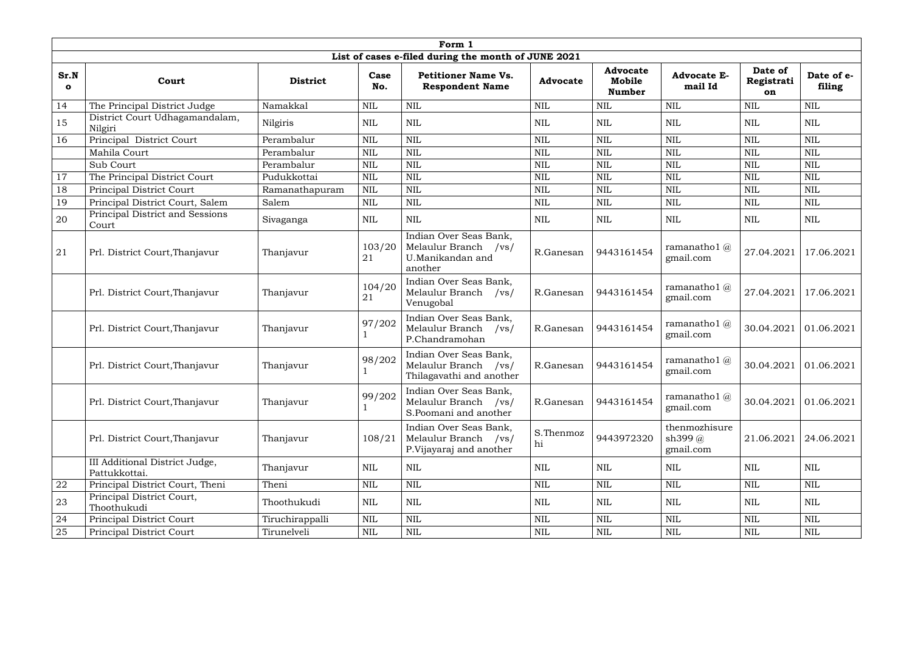|                      | Form 1                                          |                 |              |                                                                                  |                 |                                            |                                              |                             |                      |  |  |
|----------------------|-------------------------------------------------|-----------------|--------------|----------------------------------------------------------------------------------|-----------------|--------------------------------------------|----------------------------------------------|-----------------------------|----------------------|--|--|
|                      |                                                 |                 |              | List of cases e-filed during the month of JUNE 2021                              |                 |                                            |                                              |                             |                      |  |  |
| Sr.N<br>$\mathbf{o}$ | Court                                           | <b>District</b> | Case<br>No.  | <b>Petitioner Name Vs.</b><br><b>Respondent Name</b>                             | <b>Advocate</b> | <b>Advocate</b><br>Mobile<br><b>Number</b> | <b>Advocate E-</b><br>mail Id                | Date of<br>Registrati<br>on | Date of e-<br>filing |  |  |
| 14                   | The Principal District Judge                    | Namakkal        | <b>NIL</b>   | NIL                                                                              | <b>NIL</b>      | <b>NIL</b>                                 | <b>NIL</b>                                   | <b>NIL</b>                  | <b>NIL</b>           |  |  |
| 15                   | District Court Udhagamandalam,<br>Nilgiri       | Nilgiris        | <b>NIL</b>   | <b>NIL</b>                                                                       | <b>NIL</b>      | <b>NIL</b>                                 | <b>NIL</b>                                   | NIL                         | <b>NIL</b>           |  |  |
| 16                   | Principal District Court                        | Perambalur      | <b>NIL</b>   | NIL                                                                              | <b>NIL</b>      | <b>NIL</b>                                 | <b>NIL</b>                                   | <b>NIL</b>                  | <b>NIL</b>           |  |  |
|                      | Mahila Court                                    | Perambalur      | $\mbox{NIL}$ | <b>NIL</b>                                                                       | <b>NIL</b>      | <b>NIL</b>                                 | $\text{NIL}$                                 | <b>NIL</b>                  | <b>NIL</b>           |  |  |
|                      | Sub Court                                       | Perambalur      | $\mbox{NIL}$ | NIL                                                                              | <b>NIL</b>      | <b>NIL</b>                                 | <b>NIL</b>                                   | <b>NIL</b>                  | <b>NIL</b>           |  |  |
| 17                   | The Principal District Court                    | Pudukkottai     | <b>NIL</b>   | NIL                                                                              | <b>NIL</b>      | <b>NIL</b>                                 | <b>NIL</b>                                   | <b>NIL</b>                  | <b>NIL</b>           |  |  |
| 18                   | Principal District Court                        | Ramanathapuram  | <b>NIL</b>   | <b>NIL</b>                                                                       | <b>NIL</b>      | <b>NIL</b>                                 | <b>NIL</b>                                   | <b>NIL</b>                  | <b>NIL</b>           |  |  |
| 19                   | Principal District Court, Salem                 | Salem           | <b>NIL</b>   | <b>NIL</b>                                                                       | <b>NIL</b>      | <b>NIL</b>                                 | <b>NIL</b>                                   | <b>NIL</b>                  | <b>NIL</b>           |  |  |
| 20                   | Principal District and Sessions<br>Court        | Sivaganga       | <b>NIL</b>   | <b>NIL</b>                                                                       | <b>NIL</b>      | <b>NIL</b>                                 | <b>NIL</b>                                   | <b>NIL</b>                  | <b>NIL</b>           |  |  |
| 21                   | Prl. District Court, Thanjavur                  | Thanjavur       | 103/20<br>21 | Indian Over Seas Bank,<br>Melaulur Branch<br>/vs/<br>U.Manikandan and<br>another | R.Ganesan       | 9443161454                                 | ramanatho $1$ $\omega$<br>gmail.com          | 27.04.2021                  | 17.06.2021           |  |  |
|                      | Prl. District Court, Thanjavur                  | Thanjavur       | 104/20<br>21 | Indian Over Seas Bank,<br>Melaulur Branch<br>/vs/<br>Venugobal                   | R.Ganesan       | 9443161454                                 | ramanatho $1$ $\omega$<br>gmail.com          | 27.04.2021                  | 17.06.2021           |  |  |
|                      | Prl. District Court, Thanjavur                  | Thanjavur       | 97/202       | Indian Over Seas Bank,<br>Melaulur Branch<br>/vs/<br>P.Chandramohan              | R.Ganesan       | 9443161454                                 | ramanatho $1$ $\omega$<br>gmail.com          | 30.04.2021                  | 01.06.2021           |  |  |
|                      | Prl. District Court, Thanjavur                  | Thanjavur       | 98/202       | Indian Over Seas Bank,<br>Melaulur Branch<br>/vs/<br>Thilagavathi and another    | R.Ganesan       | 9443161454                                 | ramanatho $1$ $\omega$<br>gmail.com          | 30.04.2021                  | 01.06.2021           |  |  |
|                      | Prl. District Court, Thanjavur                  | Thanjavur       | 99/202       | Indian Over Seas Bank,<br>Melaulur Branch /vs/<br>S.Poomani and another          | R.Ganesan       | 9443161454                                 | ramanatho $1$ $@$<br>gmail.com               | 30.04.2021                  | 01.06.2021           |  |  |
|                      | Prl. District Court, Thanjavur                  | Thanjavur       | 108/21       | Indian Over Seas Bank,<br>Melaulur Branch /vs/<br>P. Vijayaraj and another       | S.Thenmoz<br>hi | 9443972320                                 | thenmozhisure<br>sh399 $\omega$<br>gmail.com | 21.06.2021                  | 24.06.2021           |  |  |
|                      | III Additional District Judge,<br>Pattukkottai. | Thanjavur       | <b>NIL</b>   | $\mbox{NIL}$                                                                     | NIL             | <b>NIL</b>                                 | <b>NIL</b>                                   | NIL                         | <b>NIL</b>           |  |  |
| 22                   | Principal District Court, Theni                 | Theni           | $\mbox{NIL}$ | $\mbox{NIL}$                                                                     | <b>NIL</b>      | $\text{NIL}$                               | NIL                                          | <b>NIL</b>                  | $\text{NIL}$         |  |  |
| 23                   | Principal District Court,<br>Thoothukudi        | Thoothukudi     | NIL          | <b>NIL</b>                                                                       | NIL             | NIL                                        | NIL                                          | NIL                         | <b>NIL</b>           |  |  |
| 24                   | Principal District Court                        | Tiruchirappalli | NIL          | $\mbox{NIL}$                                                                     | <b>NIL</b>      | <b>NIL</b>                                 | <b>NIL</b>                                   | <b>NIL</b>                  | <b>NIL</b>           |  |  |
| 25                   | Principal District Court                        | Tirunelveli     | <b>NIL</b>   | NIL                                                                              | <b>NIL</b>      | $\mbox{NIL}$                               | NIL                                          | NIL                         | <b>NIL</b>           |  |  |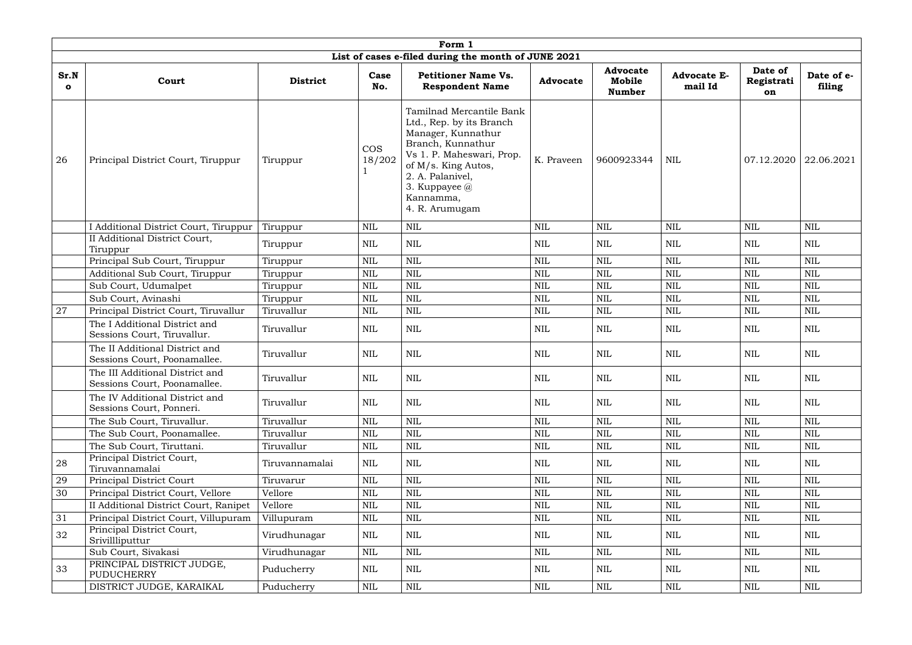|                      |                                                                 |                 |                      | Form 1                                                                                                                                                                                                                    |                 |                                            |                               |                             |                      |
|----------------------|-----------------------------------------------------------------|-----------------|----------------------|---------------------------------------------------------------------------------------------------------------------------------------------------------------------------------------------------------------------------|-----------------|--------------------------------------------|-------------------------------|-----------------------------|----------------------|
|                      |                                                                 |                 |                      | List of cases e-filed during the month of JUNE 2021                                                                                                                                                                       |                 |                                            |                               |                             |                      |
| Sr.N<br>$\mathbf{o}$ | Court                                                           | <b>District</b> | Case<br>No.          | <b>Petitioner Name Vs.</b><br><b>Respondent Name</b>                                                                                                                                                                      | <b>Advocate</b> | <b>Advocate</b><br>Mobile<br><b>Number</b> | <b>Advocate E-</b><br>mail Id | Date of<br>Registrati<br>on | Date of e-<br>filing |
| 26                   | Principal District Court, Tiruppur                              | Tiruppur        | <b>COS</b><br>18/202 | Tamilnad Mercantile Bank<br>Ltd., Rep. by its Branch<br>Manager, Kunnathur<br>Branch, Kunnathur<br>Vs 1. P. Maheswari, Prop.<br>of M/s. King Autos,<br>2. A. Palanivel,<br>3. Kuppayee $@$<br>Kannamma,<br>4. R. Arumugam | K. Praveen      | 9600923344                                 | <b>NIL</b>                    | 07.12.2020                  | 22.06.2021           |
|                      | I Additional District Court, Tiruppur                           | Tiruppur        | <b>NIL</b>           | <b>NIL</b>                                                                                                                                                                                                                | <b>NIL</b>      | <b>NIL</b>                                 | <b>NIL</b>                    | <b>NIL</b>                  | <b>NIL</b>           |
|                      | II Additional District Court,<br>Tiruppur                       | Tiruppur        | <b>NIL</b>           | <b>NIL</b>                                                                                                                                                                                                                | <b>NIL</b>      | NIL                                        | <b>NIL</b>                    | <b>NIL</b>                  | NIL                  |
|                      | Principal Sub Court, Tiruppur                                   | Tiruppur        | $\mbox{NIL}$         | <b>NIL</b>                                                                                                                                                                                                                | <b>NIL</b>      | <b>NIL</b>                                 | <b>NIL</b>                    | $\mbox{NIL}$                | <b>NIL</b>           |
|                      | Additional Sub Court, Tiruppur                                  | Tiruppur        | <b>NIL</b>           | <b>NIL</b>                                                                                                                                                                                                                | <b>NIL</b>      | <b>NIL</b>                                 | <b>NIL</b>                    | <b>NIL</b>                  | <b>NIL</b>           |
|                      | Sub Court, Udumalpet                                            | Tiruppur        | <b>NIL</b>           | <b>NIL</b>                                                                                                                                                                                                                | <b>NIL</b>      | <b>NIL</b>                                 | <b>NIL</b>                    | <b>NIL</b>                  | <b>NIL</b>           |
|                      | Sub Court, Avinashi                                             | Tiruppur        | <b>NIL</b>           | <b>NIL</b>                                                                                                                                                                                                                | <b>NIL</b>      | <b>NIL</b>                                 | <b>NIL</b>                    | <b>NIL</b>                  | <b>NIL</b>           |
| 27                   | Principal District Court, Tiruvallur                            | Tiruvallur      | <b>NIL</b>           | NIL                                                                                                                                                                                                                       | <b>NIL</b>      | <b>NIL</b>                                 | <b>NIL</b>                    | $\mbox{NIL}$                | <b>NIL</b>           |
|                      | The I Additional District and<br>Sessions Court, Tiruvallur.    | Tiruvallur      | <b>NIL</b>           | <b>NIL</b>                                                                                                                                                                                                                | <b>NIL</b>      | <b>NIL</b>                                 | <b>NIL</b>                    | <b>NIL</b>                  | <b>NIL</b>           |
|                      | The II Additional District and<br>Sessions Court, Poonamallee.  | Tiruvallur      | <b>NIL</b>           | $\mbox{NIL}$                                                                                                                                                                                                              | NIL             | <b>NIL</b>                                 | <b>NIL</b>                    | $\mbox{NIL}$                | <b>NIL</b>           |
|                      | The III Additional District and<br>Sessions Court, Poonamallee. | Tiruvallur      | $\mbox{NIL}$         | NIL                                                                                                                                                                                                                       | NIL             | <b>NIL</b>                                 | NIL                           | <b>NIL</b>                  | NIL                  |
|                      | The IV Additional District and<br>Sessions Court, Ponneri.      | Tiruvallur      | <b>NIL</b>           | NIL                                                                                                                                                                                                                       | NIL             | <b>NIL</b>                                 | <b>NIL</b>                    | <b>NIL</b>                  | <b>NIL</b>           |
|                      | The Sub Court, Tiruvallur.                                      | Tiruvallur      | <b>NIL</b>           | NIL                                                                                                                                                                                                                       | <b>NIL</b>      | <b>NIL</b>                                 | $\mbox{NIL}$                  | $\mbox{NIL}$                | <b>NIL</b>           |
|                      | The Sub Court, Poonamallee.                                     | Tiruvallur      | <b>NIL</b>           | <b>NIL</b>                                                                                                                                                                                                                | <b>NIL</b>      | <b>NIL</b>                                 | <b>NIL</b>                    | $\mbox{NIL}$                | <b>NIL</b>           |
|                      | The Sub Court, Tiruttani.                                       | Tiruvallur      | NIL                  | <b>NIL</b>                                                                                                                                                                                                                | NIL             | <b>NIL</b>                                 | NIL                           | NIL                         | NIL                  |
| 28                   | Principal District Court,<br>Tiruvannamalai                     | Tiruvannamalai  | NIL                  | NIL                                                                                                                                                                                                                       | NIL             | NIL                                        | <b>NIL</b>                    | <b>NIL</b>                  | NIL                  |
| 29                   | Principal District Court                                        | Tiruvarur       | <b>NIL</b>           | $\mbox{NIL}$                                                                                                                                                                                                              | <b>NIL</b>      | <b>NIL</b>                                 | $\mbox{NIL}$                  | $\mbox{NIL}$                | <b>NIL</b>           |
| 30                   | Principal District Court, Vellore                               | Vellore         | <b>NIL</b>           | <b>NIL</b>                                                                                                                                                                                                                | NIL             | <b>NIL</b>                                 | <b>NIL</b>                    | NIL                         | NIL                  |
|                      | II Additional District Court, Ranipet                           | Vellore         | <b>NIL</b>           | <b>NIL</b>                                                                                                                                                                                                                | NIL             | <b>NIL</b>                                 | NIL                           | NIL                         | NIL                  |
| 31                   | Principal District Court, Villupuram                            | Villupuram      | $\mbox{NIL}$         | <b>NIL</b>                                                                                                                                                                                                                | <b>NIL</b>      | <b>NIL</b>                                 | $\mbox{NIL}$                  | $\mbox{NIL}$                | <b>NIL</b>           |
| 32                   | Principal District Court,<br>Srivillliputtur                    | Virudhunagar    | NIL                  | NIL                                                                                                                                                                                                                       | NIL             | NIL                                        | NIL                           | NIL                         | <b>NIL</b>           |
|                      | Sub Court, Sivakasi                                             | Virudhunagar    | <b>NIL</b>           | <b>NIL</b>                                                                                                                                                                                                                | NIL             | <b>NIL</b>                                 | <b>NIL</b>                    | $\mbox{NIL}$                | <b>NIL</b>           |
| 33                   | PRINCIPAL DISTRICT JUDGE,<br>PUDUCHERRY                         | Puducherry      | <b>NIL</b>           | <b>NIL</b>                                                                                                                                                                                                                | NIL             | NIL                                        | <b>NIL</b>                    | <b>NIL</b>                  | NIL                  |
|                      | DISTRICT JUDGE, KARAIKAL                                        | Puducherry      | $\mbox{NIL}$         | $\mbox{NIL}$                                                                                                                                                                                                              | <b>NIL</b>      | $\mbox{NIL}$                               | $\mbox{NIL}$                  | $\mbox{NIL}$                | <b>NIL</b>           |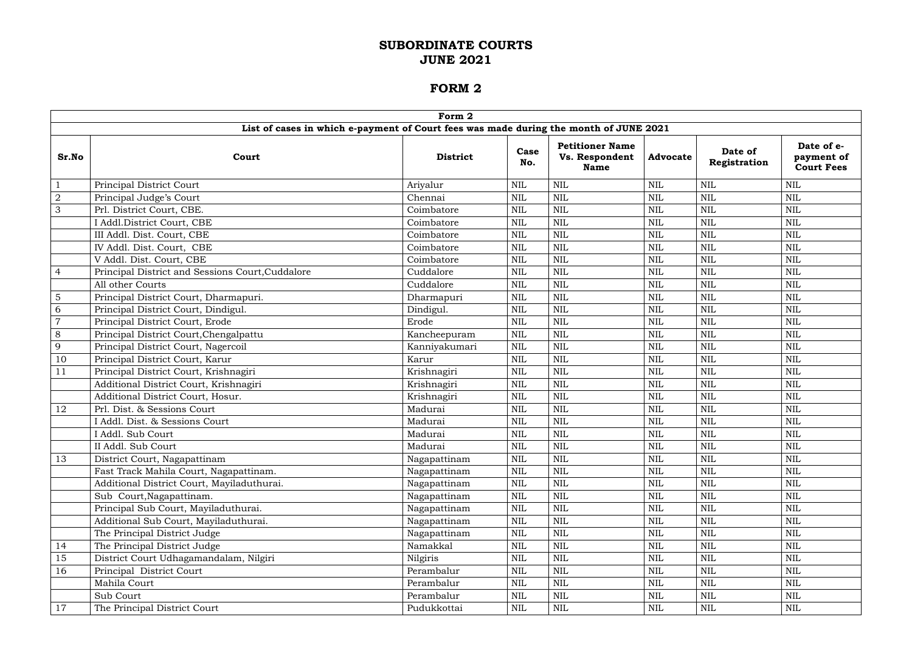|                | Form 2                                                                                |                 |              |                                                         |                 |                         |                                               |  |  |  |
|----------------|---------------------------------------------------------------------------------------|-----------------|--------------|---------------------------------------------------------|-----------------|-------------------------|-----------------------------------------------|--|--|--|
|                | List of cases in which e-payment of Court fees was made during the month of JUNE 2021 |                 |              |                                                         |                 |                         |                                               |  |  |  |
| Sr.No          | Court                                                                                 | <b>District</b> | Case<br>No.  | <b>Petitioner Name</b><br>Vs. Respondent<br><b>Name</b> | <b>Advocate</b> | Date of<br>Registration | Date of e-<br>payment of<br><b>Court Fees</b> |  |  |  |
|                | Principal District Court                                                              | Ariyalur        | <b>NIL</b>   | <b>NIL</b>                                              | <b>NIL</b>      | NIL                     | <b>NIL</b>                                    |  |  |  |
| $\sqrt{2}$     | Principal Judge's Court                                                               | Chennai         | <b>NIL</b>   | <b>NIL</b>                                              | <b>NIL</b>      | <b>NIL</b>              | <b>NIL</b>                                    |  |  |  |
| $\mathfrak{S}$ | Prl. District Court, CBE.                                                             | Coimbatore      | $\mbox{NIL}$ | <b>NIL</b>                                              | <b>NIL</b>      | <b>NIL</b>              | <b>NIL</b>                                    |  |  |  |
|                | I Addl.District Court, CBE                                                            | Coimbatore      | $\mbox{NIL}$ | <b>NIL</b>                                              | <b>NIL</b>      | <b>NIL</b>              | <b>NIL</b>                                    |  |  |  |
|                | III Addl. Dist. Court, CBE                                                            | Coimbatore      | <b>NIL</b>   | <b>NIL</b>                                              | <b>NIL</b>      | <b>NIL</b>              | <b>NIL</b>                                    |  |  |  |
|                | IV Addl. Dist. Court, CBE                                                             | Coimbatore      | <b>NIL</b>   | <b>NIL</b>                                              | NIL             | <b>NIL</b>              | <b>NIL</b>                                    |  |  |  |
|                | V Addl. Dist. Court, CBE                                                              | Coimbatore      | $\mbox{NIL}$ | <b>NIL</b>                                              | <b>NIL</b>      | <b>NIL</b>              | <b>NIL</b>                                    |  |  |  |
| $\overline{4}$ | Principal District and Sessions Court, Cuddalore                                      | Cuddalore       | <b>NIL</b>   | <b>NIL</b>                                              | <b>NIL</b>      | <b>NIL</b>              | <b>NIL</b>                                    |  |  |  |
|                | All other Courts                                                                      | Cuddalore       | $\mbox{NIL}$ | <b>NIL</b>                                              | <b>NIL</b>      | <b>NIL</b>              | <b>NIL</b>                                    |  |  |  |
| 5              | Principal District Court, Dharmapuri.                                                 | Dharmapuri      | $\mbox{NIL}$ | <b>NIL</b>                                              | <b>NIL</b>      | <b>NIL</b>              | <b>NIL</b>                                    |  |  |  |
| 6              | Principal District Court, Dindigul.                                                   | Dindigul.       | $\mbox{NIL}$ | <b>NIL</b>                                              | <b>NIL</b>      | <b>NIL</b>              | <b>NIL</b>                                    |  |  |  |
| $\overline{7}$ | Principal District Court, Erode                                                       | Erode           | <b>NIL</b>   | <b>NIL</b>                                              | <b>NIL</b>      | $\mbox{NIL}$            | <b>NIL</b>                                    |  |  |  |
| 8              | Principal District Court, Chengalpattu                                                | Kancheepuram    | <b>NIL</b>   | <b>NIL</b>                                              | <b>NIL</b>      | <b>NIL</b>              | <b>NIL</b>                                    |  |  |  |
| 9              | Principal District Court, Nagercoil                                                   | Kanniyakumari   | <b>NIL</b>   | <b>NIL</b>                                              | <b>NIL</b>      | <b>NIL</b>              | <b>NIL</b>                                    |  |  |  |
| 10             | Principal District Court, Karur                                                       | Karur           | <b>NIL</b>   | <b>NIL</b>                                              | <b>NIL</b>      | <b>NIL</b>              | <b>NIL</b>                                    |  |  |  |
| 11             | Principal District Court, Krishnagiri                                                 | Krishnagiri     | <b>NIL</b>   | <b>NIL</b>                                              | NIL             | <b>NIL</b>              | <b>NIL</b>                                    |  |  |  |
|                | Additional District Court, Krishnagiri                                                | Krishnagiri     | $\mbox{NIL}$ | <b>NIL</b>                                              | <b>NIL</b>      | <b>NIL</b>              | <b>NIL</b>                                    |  |  |  |
|                | Additional District Court, Hosur.                                                     | Krishnagiri     | <b>NIL</b>   | <b>NIL</b>                                              | <b>NIL</b>      | <b>NIL</b>              | <b>NIL</b>                                    |  |  |  |
| 12             | Prl. Dist. & Sessions Court                                                           | Madurai         | <b>NIL</b>   | <b>NIL</b>                                              | <b>NIL</b>      | <b>NIL</b>              | <b>NIL</b>                                    |  |  |  |
|                | I Addl. Dist. & Sessions Court                                                        | Madurai         | <b>NIL</b>   | <b>NIL</b>                                              | <b>NIL</b>      | <b>NIL</b>              | <b>NIL</b>                                    |  |  |  |
|                | <b>I Addl. Sub Court</b>                                                              | Madurai         | $\mbox{NIL}$ | <b>NIL</b>                                              | <b>NIL</b>      | <b>NIL</b>              | <b>NIL</b>                                    |  |  |  |
|                | II Addl. Sub Court                                                                    | Madurai         | <b>NIL</b>   | <b>NIL</b>                                              | NIL             | <b>NIL</b>              | <b>NIL</b>                                    |  |  |  |
| 13             | District Court, Nagapattinam                                                          | Nagapattinam    | $\mbox{NIL}$ | <b>NIL</b>                                              | <b>NIL</b>      | <b>NIL</b>              | <b>NIL</b>                                    |  |  |  |
|                | Fast Track Mahila Court, Nagapattinam.                                                | Nagapattinam    | $\mbox{NIL}$ | <b>NIL</b>                                              | <b>NIL</b>      | $\mbox{NIL}$            | <b>NIL</b>                                    |  |  |  |
|                | Additional District Court, Mayiladuthurai.                                            | Nagapattinam    | <b>NIL</b>   | <b>NIL</b>                                              | <b>NIL</b>      | <b>NIL</b>              | <b>NIL</b>                                    |  |  |  |
|                | Sub Court, Nagapattinam.                                                              | Nagapattinam    | $\mbox{NIL}$ | <b>NIL</b>                                              | <b>NIL</b>      | <b>NIL</b>              | <b>NIL</b>                                    |  |  |  |
|                | Principal Sub Court, Mayiladuthurai.                                                  | Nagapattinam    | <b>NIL</b>   | <b>NIL</b>                                              | NIL             | NIL                     | <b>NIL</b>                                    |  |  |  |
|                | Additional Sub Court, Mayiladuthurai.                                                 | Nagapattinam    | $\mbox{NIL}$ | <b>NIL</b>                                              | <b>NIL</b>      | $\mbox{NIL}$            | <b>NIL</b>                                    |  |  |  |
|                | The Principal District Judge                                                          | Nagapattinam    | $\mbox{NIL}$ | <b>NIL</b>                                              | NIL             | NIL                     | <b>NIL</b>                                    |  |  |  |
| 14             | The Principal District Judge                                                          | Namakkal        | $\mbox{NIL}$ | <b>NIL</b>                                              | NIL             | NIL                     | $\mbox{NIL}$                                  |  |  |  |
| 15             | District Court Udhagamandalam, Nilgiri                                                | Nilgiris        | $\mbox{NIL}$ | <b>NIL</b>                                              | <b>NIL</b>      | $\mbox{NIL}$            | <b>NIL</b>                                    |  |  |  |
| 16             | Principal District Court                                                              | Perambalur      | $\mbox{NIL}$ | <b>NIL</b>                                              | <b>NIL</b>      | <b>NIL</b>              | <b>NIL</b>                                    |  |  |  |
|                | Mahila Court                                                                          | Perambalur      | NIL          | <b>NIL</b>                                              | NIL             | NIL                     | $\mbox{NIL}$                                  |  |  |  |
|                | Sub Court                                                                             | Perambalur      | NIL          | <b>NIL</b>                                              | NIL             | NIL                     | <b>NIL</b>                                    |  |  |  |
| 17             | The Principal District Court                                                          | Pudukkottai     | $\mbox{NIL}$ | $\mbox{NIL}$                                            | <b>NIL</b>      | $\mbox{NIL}$            | $\mbox{NIL}$                                  |  |  |  |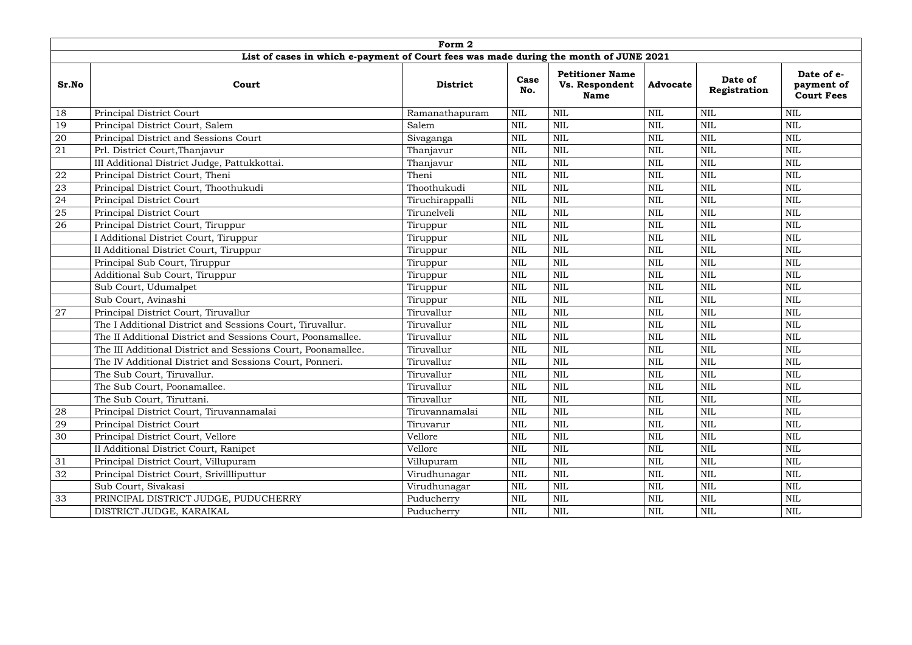|       | Form 2                                                                                |                 |              |                                                         |                 |                         |                                               |  |  |  |  |
|-------|---------------------------------------------------------------------------------------|-----------------|--------------|---------------------------------------------------------|-----------------|-------------------------|-----------------------------------------------|--|--|--|--|
|       | List of cases in which e-payment of Court fees was made during the month of JUNE 2021 |                 |              |                                                         |                 |                         |                                               |  |  |  |  |
| Sr.No | Court                                                                                 | <b>District</b> | Case<br>No.  | <b>Petitioner Name</b><br>Vs. Respondent<br><b>Name</b> | <b>Advocate</b> | Date of<br>Registration | Date of e-<br>payment of<br><b>Court Fees</b> |  |  |  |  |
| 18    | Principal District Court                                                              | Ramanathapuram  | <b>NIL</b>   | <b>NIL</b>                                              | <b>NIL</b>      | <b>NIL</b>              | <b>NIL</b>                                    |  |  |  |  |
| 19    | Principal District Court, Salem                                                       | Salem           | <b>NIL</b>   | <b>NIL</b>                                              | NIL             | <b>NIL</b>              | <b>NIL</b>                                    |  |  |  |  |
| 20    | Principal District and Sessions Court                                                 | Sivaganga       | $\text{NIL}$ | <b>NIL</b>                                              | <b>NIL</b>      | <b>NIL</b>              | <b>NIL</b>                                    |  |  |  |  |
| 21    | Prl. District Court, Thanjavur                                                        | Thanjavur       | $\text{NIL}$ | <b>NIL</b>                                              | <b>NIL</b>      | $\mbox{NIL}$            | $\text{NIL}$                                  |  |  |  |  |
|       | III Additional District Judge, Pattukkottai.                                          | Thanjavur       | <b>NIL</b>   | <b>NIL</b>                                              | <b>NIL</b>      | <b>NIL</b>              | <b>NIL</b>                                    |  |  |  |  |
| 22    | Principal District Court, Theni                                                       | Theni           | <b>NIL</b>   | <b>NIL</b>                                              | <b>NIL</b>      | <b>NIL</b>              | <b>NIL</b>                                    |  |  |  |  |
| 23    | Principal District Court, Thoothukudi                                                 | Thoothukudi     | <b>NIL</b>   | <b>NIL</b>                                              | NIL             | NIL                     | <b>NIL</b>                                    |  |  |  |  |
| 24    | Principal District Court                                                              | Tiruchirappalli | <b>NIL</b>   | <b>NIL</b>                                              | <b>NIL</b>      | <b>NIL</b>              | <b>NIL</b>                                    |  |  |  |  |
| 25    | <b>Principal District Court</b>                                                       | Tirunelveli     | <b>NIL</b>   | <b>NIL</b>                                              | NIL             | <b>NIL</b>              | <b>NIL</b>                                    |  |  |  |  |
| 26    | Principal District Court, Tiruppur                                                    | Tiruppur        | <b>NIL</b>   | <b>NIL</b>                                              | NIL             | <b>NIL</b>              | <b>NIL</b>                                    |  |  |  |  |
|       | I Additional District Court, Tiruppur                                                 | Tiruppur        | <b>NIL</b>   | <b>NIL</b>                                              | <b>NIL</b>      | <b>NIL</b>              | $\text{NIL}$                                  |  |  |  |  |
|       | II Additional District Court, Tiruppur                                                | Tiruppur        | <b>NIL</b>   | <b>NIL</b>                                              | NIL             | <b>NIL</b>              | <b>NIL</b>                                    |  |  |  |  |
|       | Principal Sub Court, Tiruppur                                                         | Tiruppur        | <b>NIL</b>   | <b>NIL</b>                                              | <b>NIL</b>      | <b>NIL</b>              | <b>NIL</b>                                    |  |  |  |  |
|       | Additional Sub Court, Tiruppur                                                        | Tiruppur        | <b>NIL</b>   | <b>NIL</b>                                              | NIL             | <b>NIL</b>              | <b>NIL</b>                                    |  |  |  |  |
|       | Sub Court, Udumalpet                                                                  | Tiruppur        | <b>NIL</b>   | <b>NIL</b>                                              | <b>NIL</b>      | <b>NIL</b>              | <b>NIL</b>                                    |  |  |  |  |
|       | Sub Court, Avinashi                                                                   | Tiruppur        | <b>NIL</b>   | <b>NIL</b>                                              | NIL             | <b>NIL</b>              | <b>NIL</b>                                    |  |  |  |  |
| 27    | Principal District Court, Tiruvallur                                                  | Tiruvallur      | <b>NIL</b>   | <b>NIL</b>                                              | NIL             | <b>NIL</b>              | <b>NIL</b>                                    |  |  |  |  |
|       | The I Additional District and Sessions Court, Tiruvallur.                             | Tiruvallur      | <b>NIL</b>   | <b>NIL</b>                                              | <b>NIL</b>      | <b>NIL</b>              | <b>NIL</b>                                    |  |  |  |  |
|       | The II Additional District and Sessions Court, Poonamallee.                           | Tiruvallur      | <b>NIL</b>   | <b>NIL</b>                                              | <b>NIL</b>      | NIL                     | <b>NIL</b>                                    |  |  |  |  |
|       | The III Additional District and Sessions Court, Poonamallee.                          | Tiruvallur      | $\text{NIL}$ | <b>NIL</b>                                              | <b>NIL</b>      | $\mbox{NIL}$            | <b>NIL</b>                                    |  |  |  |  |
|       | The IV Additional District and Sessions Court, Ponneri.                               | Tiruvallur      | $\text{NIL}$ | <b>NIL</b>                                              | NIL             | <b>NIL</b>              | <b>NIL</b>                                    |  |  |  |  |
|       | The Sub Court, Tiruvallur.                                                            | Tiruvallur      | $\text{NIL}$ | <b>NIL</b>                                              | <b>NIL</b>      | NIL                     | <b>NIL</b>                                    |  |  |  |  |
|       | The Sub Court, Poonamallee.                                                           | Tiruvallur      | <b>NIL</b>   | <b>NIL</b>                                              | <b>NIL</b>      | <b>NIL</b>              | <b>NIL</b>                                    |  |  |  |  |
|       | The Sub Court, Tiruttani.                                                             | Tiruvallur      | <b>NIL</b>   | $\text{NIL}$                                            | NIL             | NIL                     | $\text{NIL}$                                  |  |  |  |  |
| 28    | Principal District Court, Tiruvannamalai                                              | Tiruvannamalai  | $\mbox{NIL}$ | $\mbox{NIL}$                                            | <b>NIL</b>      | $\mbox{NIL}$            | $\text{NIL}$                                  |  |  |  |  |
| 29    | Principal District Court                                                              | Tiruvarur       | <b>NIL</b>   | <b>NIL</b>                                              | <b>NIL</b>      | <b>NIL</b>              | $\text{NIL}$                                  |  |  |  |  |
| 30    | Principal District Court, Vellore                                                     | Vellore         | $\text{NIL}$ | $\text{NIL}$                                            | NIL             | NIL                     | <b>NIL</b>                                    |  |  |  |  |
|       | II Additional District Court, Ranipet                                                 | Vellore         | $\text{NIL}$ | <b>NIL</b>                                              | NIL             | NIL                     | $\text{NIL}$                                  |  |  |  |  |
| 31    | Principal District Court, Villupuram                                                  | Villupuram      | <b>NIL</b>   | <b>NIL</b>                                              | <b>NIL</b>      | <b>NIL</b>              | $\text{NIL}$                                  |  |  |  |  |
| 32    | Principal District Court, Srivillliputtur                                             | Virudhunagar    | <b>NIL</b>   | $\text{NIL}$                                            | NIL             | NIL                     | $\text{NIL}$                                  |  |  |  |  |
|       | Sub Court, Sivakasi                                                                   | Virudhunagar    | <b>NIL</b>   | $\text{NIL}$                                            | <b>NIL</b>      | NIL                     | <b>NIL</b>                                    |  |  |  |  |
| 33    | PRINCIPAL DISTRICT JUDGE, PUDUCHERRY                                                  | Puducherry      | $\mbox{NIL}$ | $\text{NIL}$                                            | <b>NIL</b>      | <b>NIL</b>              | <b>NIL</b>                                    |  |  |  |  |
|       | DISTRICT JUDGE, KARAIKAL                                                              | Puducherry      | NIL          | <b>NIL</b>                                              | NIL             | $\rm NIL$               | $\mbox{NIL}$                                  |  |  |  |  |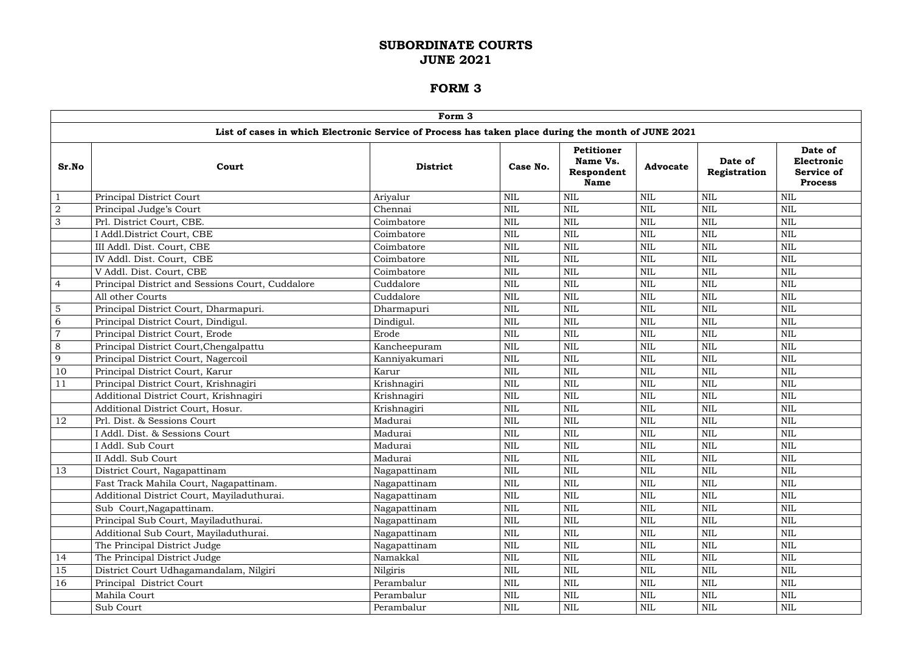|                | Form 3                                                                                             |                 |              |                                                     |                 |                         |                                                       |  |  |  |  |
|----------------|----------------------------------------------------------------------------------------------------|-----------------|--------------|-----------------------------------------------------|-----------------|-------------------------|-------------------------------------------------------|--|--|--|--|
|                | List of cases in which Electronic Service of Process has taken place during the month of JUNE 2021 |                 |              |                                                     |                 |                         |                                                       |  |  |  |  |
| Sr.No          | Court                                                                                              | <b>District</b> | Case No.     | Petitioner<br>Name Vs.<br>Respondent<br><b>Name</b> | <b>Advocate</b> | Date of<br>Registration | Date of<br>Electronic<br>Service of<br><b>Process</b> |  |  |  |  |
|                | Principal District Court                                                                           | Ariyalur        | <b>NIL</b>   | <b>NIL</b>                                          | <b>NIL</b>      | <b>NIL</b>              | <b>NIL</b>                                            |  |  |  |  |
| $\overline{2}$ | Principal Judge's Court                                                                            | Chennai         | <b>NIL</b>   | <b>NIL</b>                                          | $\mbox{NIL}$    | <b>NIL</b>              | <b>NIL</b>                                            |  |  |  |  |
| 3              | Prl. District Court, CBE.                                                                          | Coimbatore      | <b>NIL</b>   | <b>NIL</b>                                          | $\mbox{NIL}$    | <b>NIL</b>              | <b>NIL</b>                                            |  |  |  |  |
|                | I Addl.District Court, CBE                                                                         | Coimbatore      | <b>NIL</b>   | <b>NIL</b>                                          | <b>NIL</b>      | <b>NIL</b>              | <b>NIL</b>                                            |  |  |  |  |
|                | III Addl. Dist. Court, CBE                                                                         | Coimbatore      | <b>NIL</b>   | <b>NIL</b>                                          | $\mbox{NIL}$    | <b>NIL</b>              | <b>NIL</b>                                            |  |  |  |  |
|                | IV Addl. Dist. Court, CBE                                                                          | Coimbatore      | <b>NIL</b>   | <b>NIL</b>                                          | NIL             | <b>NIL</b>              | <b>NIL</b>                                            |  |  |  |  |
|                | V Addl. Dist. Court, CBE                                                                           | Coimbatore      | $\mbox{NIL}$ | <b>NIL</b>                                          | <b>NIL</b>      | <b>NIL</b>              | <b>NIL</b>                                            |  |  |  |  |
| $\overline{4}$ | Principal District and Sessions Court, Cuddalore                                                   | Cuddalore       | <b>NIL</b>   | <b>NIL</b>                                          | $\mbox{NIL}$    | <b>NIL</b>              | <b>NIL</b>                                            |  |  |  |  |
|                | All other Courts                                                                                   | Cuddalore       | <b>NIL</b>   | <b>NIL</b>                                          | <b>NIL</b>      | <b>NIL</b>              | <b>NIL</b>                                            |  |  |  |  |
| 5              | Principal District Court, Dharmapuri.                                                              | Dharmapuri      | <b>NIL</b>   | <b>NIL</b>                                          | <b>NIL</b>      | <b>NIL</b>              | <b>NIL</b>                                            |  |  |  |  |
| 6              | Principal District Court, Dindigul.                                                                | Dindigul.       | <b>NIL</b>   | <b>NIL</b>                                          | <b>NIL</b>      | <b>NIL</b>              | <b>NIL</b>                                            |  |  |  |  |
| $\overline{7}$ | Principal District Court, Erode                                                                    | Erode           | <b>NIL</b>   | <b>NIL</b>                                          | <b>NIL</b>      | <b>NIL</b>              | <b>NIL</b>                                            |  |  |  |  |
| 8              | Principal District Court, Chengalpattu                                                             | Kancheepuram    | <b>NIL</b>   | <b>NIL</b>                                          | $\mbox{NIL}$    | <b>NIL</b>              | <b>NIL</b>                                            |  |  |  |  |
| 9              | Principal District Court, Nagercoil                                                                | Kanniyakumari   | <b>NIL</b>   | <b>NIL</b>                                          | <b>NIL</b>      | <b>NIL</b>              | <b>NIL</b>                                            |  |  |  |  |
| 10             | Principal District Court, Karur                                                                    | Karur           | <b>NIL</b>   | <b>NIL</b>                                          | $\mbox{NIL}$    | <b>NIL</b>              | <b>NIL</b>                                            |  |  |  |  |
| 11             | Principal District Court, Krishnagiri                                                              | Krishnagiri     | <b>NIL</b>   | <b>NIL</b>                                          | <b>NIL</b>      | <b>NIL</b>              | <b>NIL</b>                                            |  |  |  |  |
|                | Additional District Court, Krishnagiri                                                             | Krishnagiri     | <b>NIL</b>   | NIL                                                 | <b>NIL</b>      | <b>NIL</b>              | <b>NIL</b>                                            |  |  |  |  |
|                | Additional District Court, Hosur.                                                                  | Krishnagiri     | <b>NIL</b>   | NIL                                                 | <b>NIL</b>      | <b>NIL</b>              | <b>NIL</b>                                            |  |  |  |  |
| 12             | Prl. Dist. & Sessions Court                                                                        | Madurai         | <b>NIL</b>   | <b>NIL</b>                                          | <b>NIL</b>      | <b>NIL</b>              | <b>NIL</b>                                            |  |  |  |  |
|                | I Addl. Dist. & Sessions Court                                                                     | Madurai         | <b>NIL</b>   | <b>NIL</b>                                          | $\mbox{NIL}$    | <b>NIL</b>              | <b>NIL</b>                                            |  |  |  |  |
|                | I Addl. Sub Court                                                                                  | Madurai         | <b>NIL</b>   | <b>NIL</b>                                          | $\mbox{NIL}$    | <b>NIL</b>              | <b>NIL</b>                                            |  |  |  |  |
|                | II Addl. Sub Court                                                                                 | Madurai         | <b>NIL</b>   | <b>NIL</b>                                          | $\mbox{NIL}$    | <b>NIL</b>              | <b>NIL</b>                                            |  |  |  |  |
| 13             | District Court, Nagapattinam                                                                       | Nagapattinam    | <b>NIL</b>   | <b>NIL</b>                                          | $\mbox{NIL}$    | <b>NIL</b>              | <b>NIL</b>                                            |  |  |  |  |
|                | Fast Track Mahila Court, Nagapattinam.                                                             | Nagapattinam    | <b>NIL</b>   | <b>NIL</b>                                          | $\mbox{NIL}$    | <b>NIL</b>              | <b>NIL</b>                                            |  |  |  |  |
|                | Additional District Court, Mayiladuthurai.                                                         | Nagapattinam    | <b>NIL</b>   | <b>NIL</b>                                          | $\mbox{NIL}$    | <b>NIL</b>              | <b>NIL</b>                                            |  |  |  |  |
|                | Sub Court, Nagapattinam.                                                                           | Nagapattinam    | <b>NIL</b>   | <b>NIL</b>                                          | $\mbox{NIL}$    | <b>NIL</b>              | <b>NIL</b>                                            |  |  |  |  |
|                | Principal Sub Court, Mayiladuthurai.                                                               | Nagapattinam    | <b>NIL</b>   | <b>NIL</b>                                          | NIL             | <b>NIL</b>              | NIL                                                   |  |  |  |  |
|                | Additional Sub Court, Mayiladuthurai.                                                              | Nagapattinam    | <b>NIL</b>   | <b>NIL</b>                                          | $\mbox{NIL}$    | <b>NIL</b>              | <b>NIL</b>                                            |  |  |  |  |
|                | The Principal District Judge                                                                       | Nagapattinam    | <b>NIL</b>   | <b>NIL</b>                                          | $\mbox{NIL}$    | <b>NIL</b>              | <b>NIL</b>                                            |  |  |  |  |
| 14             | The Principal District Judge                                                                       | Namakkal        | <b>NIL</b>   | <b>NIL</b>                                          | $\mbox{NIL}$    | <b>NIL</b>              | <b>NIL</b>                                            |  |  |  |  |
| 15             | District Court Udhagamandalam, Nilgiri                                                             | Nilgiris        | $\mbox{NIL}$ | <b>NIL</b>                                          | $\mbox{NIL}$    | <b>NIL</b>              | <b>NIL</b>                                            |  |  |  |  |
| 16             | Principal District Court                                                                           | Perambalur      | <b>NIL</b>   | <b>NIL</b>                                          | $\mbox{NIL}$    | <b>NIL</b>              | <b>NIL</b>                                            |  |  |  |  |
|                | Mahila Court                                                                                       | Perambalur      | <b>NIL</b>   | <b>NIL</b>                                          | <b>NIL</b>      | <b>NIL</b>              | <b>NIL</b>                                            |  |  |  |  |
|                | Sub Court                                                                                          | Perambalur      | NIL          | $\mbox{NIL}$                                        | NIL             | <b>NIL</b>              | $\mbox{NIL}$                                          |  |  |  |  |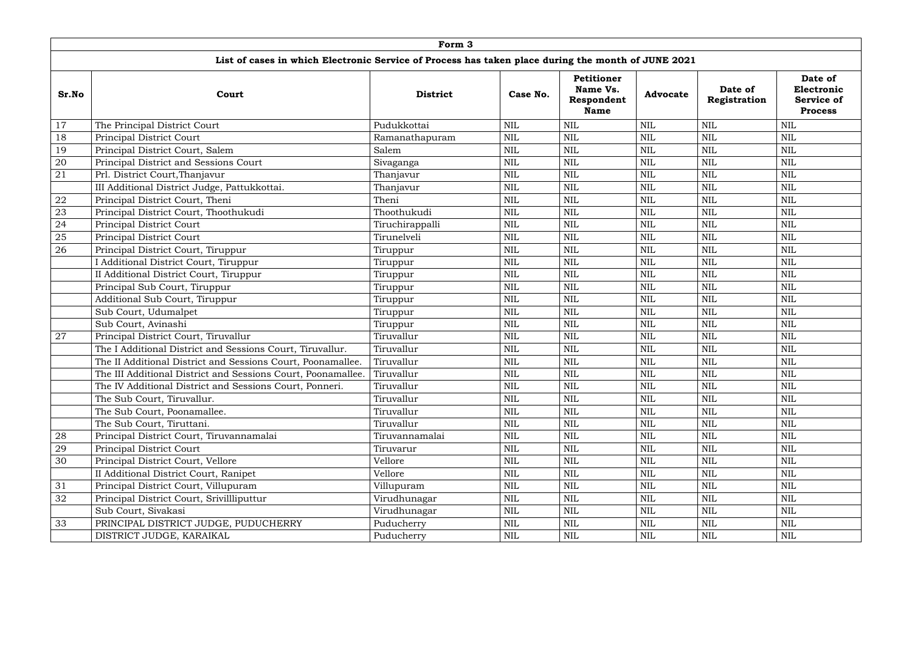|        | Form 3                                                                                             |                 |            |                                                     |                 |                         |                                                              |  |  |  |  |
|--------|----------------------------------------------------------------------------------------------------|-----------------|------------|-----------------------------------------------------|-----------------|-------------------------|--------------------------------------------------------------|--|--|--|--|
|        | List of cases in which Electronic Service of Process has taken place during the month of JUNE 2021 |                 |            |                                                     |                 |                         |                                                              |  |  |  |  |
| Sr.No  | Court                                                                                              | <b>District</b> | Case No.   | Petitioner<br>Name Vs.<br>Respondent<br><b>Name</b> | <b>Advocate</b> | Date of<br>Registration | Date of<br>Electronic<br><b>Service of</b><br><b>Process</b> |  |  |  |  |
| 17     | The Principal District Court                                                                       | Pudukkottai     | <b>NIL</b> | <b>NIL</b>                                          | <b>NIL</b>      | <b>NIL</b>              | <b>NIL</b>                                                   |  |  |  |  |
| 18     | Principal District Court                                                                           | Ramanathapuram  | <b>NIL</b> | <b>NIL</b>                                          | <b>NIL</b>      | <b>NIL</b>              | <b>NIL</b>                                                   |  |  |  |  |
| 19     | Principal District Court, Salem                                                                    | Salem           | <b>NIL</b> | <b>NIL</b>                                          | <b>NIL</b>      | <b>NIL</b>              | <b>NIL</b>                                                   |  |  |  |  |
| 20     | Principal District and Sessions Court                                                              | Sivaganga       | <b>NIL</b> | <b>NIL</b>                                          | <b>NIL</b>      | <b>NIL</b>              | <b>NIL</b>                                                   |  |  |  |  |
| 21     | Prl. District Court, Thanjavur                                                                     | Thanjavur       | <b>NIL</b> | <b>NIL</b>                                          | $\text{NIL}$    | <b>NIL</b>              | $\text{NIL}$                                                 |  |  |  |  |
|        | III Additional District Judge, Pattukkottai.                                                       | Thanjavur       | NIL        | <b>NIL</b>                                          | <b>NIL</b>      | <b>NIL</b>              | <b>NIL</b>                                                   |  |  |  |  |
| 22     | Principal District Court, Theni                                                                    | Theni           | NIL        | <b>NIL</b>                                          | <b>NIL</b>      | <b>NIL</b>              | <b>NIL</b>                                                   |  |  |  |  |
| 23     | Principal District Court, Thoothukudi                                                              | Thoothukudi     | NIL        | <b>NIL</b>                                          | <b>NIL</b>      | <b>NIL</b>              | <b>NIL</b>                                                   |  |  |  |  |
| 24     | Principal District Court                                                                           | Tiruchirappalli | <b>NIL</b> | <b>NIL</b>                                          | <b>NIL</b>      | <b>NIL</b>              | <b>NIL</b>                                                   |  |  |  |  |
| $25\,$ | Principal District Court                                                                           | Tirunelveli     | <b>NIL</b> | <b>NIL</b>                                          | $\mbox{NIL}$    | <b>NIL</b>              | <b>NIL</b>                                                   |  |  |  |  |
| 26     | Principal District Court, Tiruppur                                                                 | Tiruppur        | <b>NIL</b> | <b>NIL</b>                                          | $\text{NIL}$    | <b>NIL</b>              | $\text{NIL}$                                                 |  |  |  |  |
|        | I Additional District Court, Tiruppur                                                              | Tiruppur        | <b>NIL</b> | <b>NIL</b>                                          | <b>NIL</b>      | <b>NIL</b>              | <b>NIL</b>                                                   |  |  |  |  |
|        | II Additional District Court, Tiruppur                                                             | Tiruppur        | <b>NIL</b> | <b>NIL</b>                                          | $\mbox{NIL}$    | <b>NIL</b>              | <b>NIL</b>                                                   |  |  |  |  |
|        | Principal Sub Court, Tiruppur                                                                      | Tiruppur        | <b>NIL</b> | <b>NIL</b>                                          | <b>NIL</b>      | <b>NIL</b>              | <b>NIL</b>                                                   |  |  |  |  |
|        | Additional Sub Court, Tiruppur                                                                     | Tiruppur        | <b>NIL</b> | <b>NIL</b>                                          | <b>NIL</b>      | <b>NIL</b>              | <b>NIL</b>                                                   |  |  |  |  |
|        | Sub Court, Udumalpet                                                                               | Tiruppur        | NIL        | <b>NIL</b>                                          | $\text{NIL}$    | <b>NIL</b>              | <b>NIL</b>                                                   |  |  |  |  |
|        | Sub Court, Avinashi                                                                                | Tiruppur        | <b>NIL</b> | <b>NIL</b>                                          | <b>NIL</b>      | <b>NIL</b>              | <b>NIL</b>                                                   |  |  |  |  |
| 27     | Principal District Court, Tiruvallur                                                               | Tiruvallur      | NIL        | <b>NIL</b>                                          | <b>NIL</b>      | <b>NIL</b>              | <b>NIL</b>                                                   |  |  |  |  |
|        | The I Additional District and Sessions Court, Tiruvallur.                                          | Tiruvallur      | <b>NIL</b> | <b>NIL</b>                                          | $\mbox{NIL}$    | <b>NIL</b>              | $\text{NIL}$                                                 |  |  |  |  |
|        | The II Additional District and Sessions Court, Poonamallee.                                        | Tiruvallur      | <b>NIL</b> | <b>NIL</b>                                          | $\text{NIL}$    | <b>NIL</b>              | <b>NIL</b>                                                   |  |  |  |  |
|        | The III Additional District and Sessions Court, Poonamallee.                                       | Tiruvallur      | NIL        | <b>NIL</b>                                          | <b>NIL</b>      | <b>NIL</b>              | <b>NIL</b>                                                   |  |  |  |  |
|        | The IV Additional District and Sessions Court, Ponneri.                                            | Tiruvallur      | <b>NIL</b> | <b>NIL</b>                                          | $\mbox{NIL}$    | <b>NIL</b>              | $\mbox{NIL}$                                                 |  |  |  |  |
|        | The Sub Court, Tiruvallur.                                                                         | Tiruvallur      | <b>NIL</b> | <b>NIL</b>                                          | <b>NIL</b>      | <b>NIL</b>              | <b>NIL</b>                                                   |  |  |  |  |
|        | The Sub Court, Poonamallee.                                                                        | Tiruvallur      | <b>NIL</b> | <b>NIL</b>                                          | $\text{NIL}$    | <b>NIL</b>              | $\text{NIL}$                                                 |  |  |  |  |
|        | The Sub Court, Tiruttani.                                                                          | Tiruvallur      | NIL        | <b>NIL</b>                                          | NIL             | <b>NIL</b>              | <b>NIL</b>                                                   |  |  |  |  |
| 28     | Principal District Court, Tiruvannamalai                                                           | Tiruvannamalai  | <b>NIL</b> | <b>NIL</b>                                          | <b>NIL</b>      | <b>NIL</b>              | <b>NIL</b>                                                   |  |  |  |  |
| 29     | Principal District Court                                                                           | Tiruvarur       | <b>NIL</b> | <b>NIL</b>                                          | $\text{NIL}$    | <b>NIL</b>              | $\text{NIL}$                                                 |  |  |  |  |
| 30     | Principal District Court, Vellore                                                                  | Vellore         | <b>NIL</b> | <b>NIL</b>                                          | NIL             | <b>NIL</b>              | <b>NIL</b>                                                   |  |  |  |  |
|        | II Additional District Court, Ranipet                                                              | Vellore         | <b>NIL</b> | <b>NIL</b>                                          | NIL             | <b>NIL</b>              | <b>NIL</b>                                                   |  |  |  |  |
| 31     | Principal District Court, Villupuram                                                               | Villupuram      | NIL        | <b>NIL</b>                                          | NIL             | <b>NIL</b>              | NIL                                                          |  |  |  |  |
| 32     | Principal District Court, Srivillliputtur                                                          | Virudhunagar    | <b>NIL</b> | <b>NIL</b>                                          | $\text{NIL}$    | <b>NIL</b>              | <b>NIL</b>                                                   |  |  |  |  |
|        | Sub Court, Sivakasi                                                                                | Virudhunagar    | NIL        | NIL                                                 | NIL             | NIL                     | NIL                                                          |  |  |  |  |
| 33     | PRINCIPAL DISTRICT JUDGE, PUDUCHERRY                                                               | Puducherry      | <b>NIL</b> | <b>NIL</b>                                          | <b>NIL</b>      | <b>NIL</b>              | <b>NIL</b>                                                   |  |  |  |  |
|        | DISTRICT JUDGE, KARAIKAL                                                                           | Puducherry      | <b>NIL</b> | $\mbox{NIL}$                                        | $\mbox{NIL}$    | NIL                     | $\mbox{NIL}$                                                 |  |  |  |  |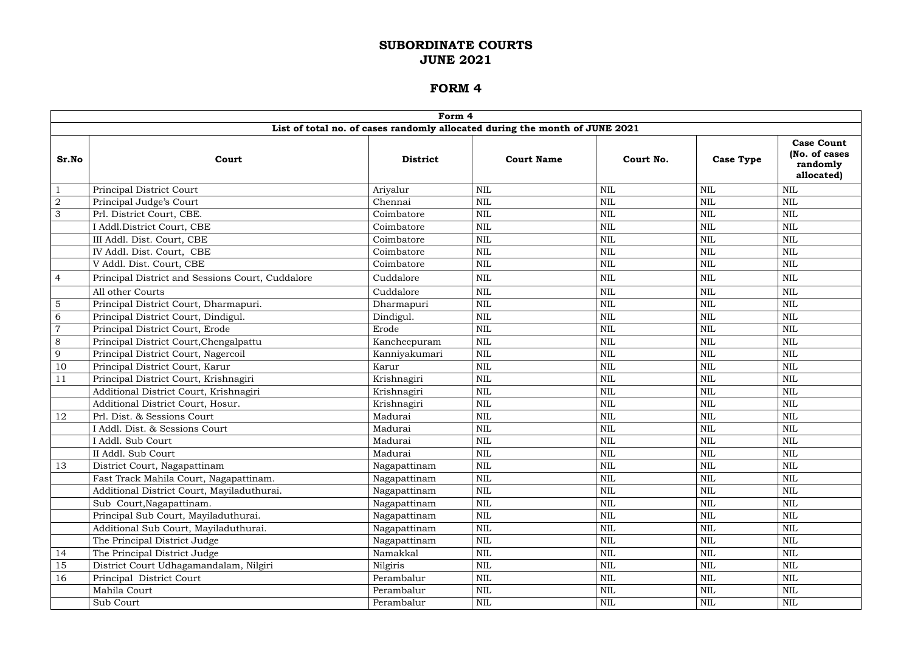|                | Form 4                                           |                 |                                                                             |              |                  |                                                              |  |  |  |  |  |
|----------------|--------------------------------------------------|-----------------|-----------------------------------------------------------------------------|--------------|------------------|--------------------------------------------------------------|--|--|--|--|--|
|                |                                                  |                 | List of total no. of cases randomly allocated during the month of JUNE 2021 |              |                  |                                                              |  |  |  |  |  |
| Sr.No          | Court                                            | <b>District</b> | <b>Court Name</b>                                                           | Court No.    | <b>Case Type</b> | <b>Case Count</b><br>(No. of cases<br>randomly<br>allocated) |  |  |  |  |  |
| $\mathbf{1}$   | Principal District Court                         | Ariyalur        | <b>NIL</b>                                                                  | <b>NIL</b>   | <b>NIL</b>       | <b>NIL</b>                                                   |  |  |  |  |  |
| $\overline{2}$ | Principal Judge's Court                          | Chennai         | <b>NIL</b>                                                                  | <b>NIL</b>   | <b>NIL</b>       | <b>NIL</b>                                                   |  |  |  |  |  |
| 3              | Prl. District Court, CBE.                        | Coimbatore      | <b>NIL</b>                                                                  | $\mbox{NIL}$ | <b>NIL</b>       | <b>NIL</b>                                                   |  |  |  |  |  |
|                | I Addl.District Court, CBE                       | Coimbatore      | <b>NIL</b>                                                                  | <b>NIL</b>   | <b>NIL</b>       | <b>NIL</b>                                                   |  |  |  |  |  |
|                | III Addl. Dist. Court, CBE                       | Coimbatore      | NIL                                                                         | $\mbox{NIL}$ | <b>NIL</b>       | <b>NIL</b>                                                   |  |  |  |  |  |
|                | IV Addl. Dist. Court, CBE                        | Coimbatore      | <b>NIL</b>                                                                  | $\mbox{NIL}$ | <b>NIL</b>       | $\mbox{NIL}$                                                 |  |  |  |  |  |
|                | V Addl. Dist. Court, CBE                         | Coimbatore      | <b>NIL</b>                                                                  | <b>NIL</b>   | <b>NIL</b>       | $\mbox{NIL}$                                                 |  |  |  |  |  |
| $\overline{4}$ | Principal District and Sessions Court, Cuddalore | Cuddalore       | <b>NIL</b>                                                                  | <b>NIL</b>   | <b>NIL</b>       | <b>NIL</b>                                                   |  |  |  |  |  |
|                | All other Courts                                 | Cuddalore       | <b>NIL</b>                                                                  | <b>NIL</b>   | <b>NIL</b>       | NIL                                                          |  |  |  |  |  |
| $\overline{5}$ | Principal District Court, Dharmapuri.            | Dharmapuri      | <b>NIL</b>                                                                  | $\mbox{NIL}$ | <b>NIL</b>       | <b>NIL</b>                                                   |  |  |  |  |  |
| 6              | Principal District Court, Dindigul.              | Dindigul.       | NIL                                                                         | <b>NIL</b>   | <b>NIL</b>       | <b>NIL</b>                                                   |  |  |  |  |  |
| $\overline{7}$ | Principal District Court, Erode                  | Erode           | <b>NIL</b>                                                                  | $\mbox{NIL}$ | <b>NIL</b>       | <b>NIL</b>                                                   |  |  |  |  |  |
| 8              | Principal District Court, Chengalpattu           | Kancheepuram    | <b>NIL</b>                                                                  | <b>NIL</b>   | <b>NIL</b>       | <b>NIL</b>                                                   |  |  |  |  |  |
| 9              | Principal District Court, Nagercoil              | Kanniyakumari   | <b>NIL</b>                                                                  | <b>NIL</b>   | <b>NIL</b>       | <b>NIL</b>                                                   |  |  |  |  |  |
| 10             | Principal District Court, Karur                  | Karur           | <b>NIL</b>                                                                  | $\mbox{NIL}$ | <b>NIL</b>       | <b>NIL</b>                                                   |  |  |  |  |  |
| 11             | Principal District Court, Krishnagiri            | Krishnagiri     | $\mbox{NIL}$                                                                | <b>NIL</b>   | <b>NIL</b>       | $\mbox{NIL}$                                                 |  |  |  |  |  |
|                | Additional District Court, Krishnagiri           | Krishnagiri     | <b>NIL</b>                                                                  | <b>NIL</b>   | <b>NIL</b>       | <b>NIL</b>                                                   |  |  |  |  |  |
|                | Additional District Court, Hosur.                | Krishnagiri     | <b>NIL</b>                                                                  | <b>NIL</b>   | <b>NIL</b>       | $\mbox{NIL}$                                                 |  |  |  |  |  |
| 12             | Prl. Dist. & Sessions Court                      | Madurai         | <b>NIL</b>                                                                  | $\mbox{NIL}$ | <b>NIL</b>       | <b>NIL</b>                                                   |  |  |  |  |  |
|                | I Addl. Dist. & Sessions Court                   | Madurai         | <b>NIL</b>                                                                  | <b>NIL</b>   | NIL              | <b>NIL</b>                                                   |  |  |  |  |  |
|                | I Addl. Sub Court                                | Madurai         | <b>NIL</b>                                                                  | <b>NIL</b>   | <b>NIL</b>       | <b>NIL</b>                                                   |  |  |  |  |  |
|                | II Addl. Sub Court                               | Madurai         | $\mbox{NIL}$                                                                | $\mbox{NIL}$ | $\mbox{NIL}$     | $\mbox{NIL}$                                                 |  |  |  |  |  |
| 13             | District Court, Nagapattinam                     | Nagapattinam    | $\mbox{NIL}$                                                                | <b>NIL</b>   | <b>NIL</b>       | <b>NIL</b>                                                   |  |  |  |  |  |
|                | Fast Track Mahila Court, Nagapattinam.           | Nagapattinam    | <b>NIL</b>                                                                  | NIL          | $\mbox{NIL}$     | <b>NIL</b>                                                   |  |  |  |  |  |
|                | Additional District Court, Mayiladuthurai.       | Nagapattinam    | <b>NIL</b>                                                                  | $\mbox{NIL}$ | $\mbox{NIL}$     | <b>NIL</b>                                                   |  |  |  |  |  |
|                | Sub Court, Nagapattinam.                         | Nagapattinam    | $\mbox{NIL}$                                                                | $\mbox{NIL}$ | <b>NIL</b>       | <b>NIL</b>                                                   |  |  |  |  |  |
|                | Principal Sub Court, Mayiladuthurai.             | Nagapattinam    | <b>NIL</b>                                                                  | $\mbox{NIL}$ | NIL              | <b>NIL</b>                                                   |  |  |  |  |  |
|                | Additional Sub Court, Mayiladuthurai.            | Nagapattinam    | <b>NIL</b>                                                                  | NIL          | <b>NIL</b>       | $\mbox{NIL}$                                                 |  |  |  |  |  |
|                | The Principal District Judge                     | Nagapattinam    | NIL                                                                         | $\mbox{NIL}$ | NIL              | NIL                                                          |  |  |  |  |  |
| 14             | The Principal District Judge                     | Namakkal        | <b>NIL</b>                                                                  | <b>NIL</b>   | NIL              | <b>NIL</b>                                                   |  |  |  |  |  |
| 15             | District Court Udhagamandalam, Nilgiri           | Nilgiris        | NIL                                                                         | NIL          | NIL              | <b>NIL</b>                                                   |  |  |  |  |  |
| 16             | Principal District Court                         | Perambalur      | NIL                                                                         | <b>NIL</b>   | NIL              | <b>NIL</b>                                                   |  |  |  |  |  |
|                | Mahila Court                                     | Perambalur      | <b>NIL</b>                                                                  | <b>NIL</b>   | <b>NIL</b>       | $\mbox{NIL}$                                                 |  |  |  |  |  |
|                | Sub Court                                        | Perambalur      | NIL                                                                         | $\rm NIL$    | NIL              | NIL                                                          |  |  |  |  |  |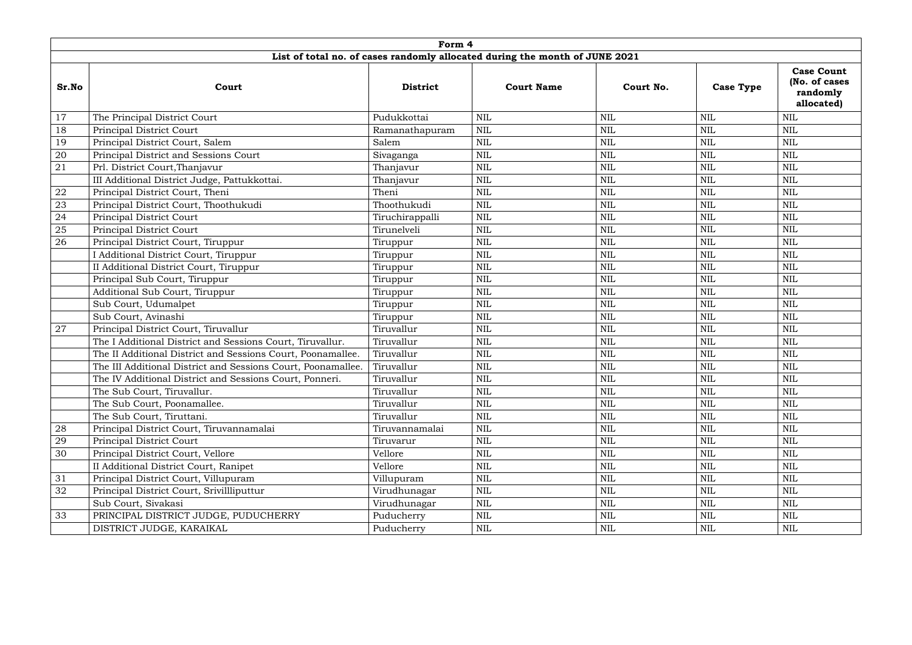|       | Form 4                                                       |                 |                                                                             |              |                  |                                                              |  |  |  |  |
|-------|--------------------------------------------------------------|-----------------|-----------------------------------------------------------------------------|--------------|------------------|--------------------------------------------------------------|--|--|--|--|
|       |                                                              |                 | List of total no. of cases randomly allocated during the month of JUNE 2021 |              |                  |                                                              |  |  |  |  |
| Sr.No | Court                                                        | <b>District</b> | <b>Court Name</b>                                                           | Court No.    | <b>Case Type</b> | <b>Case Count</b><br>(No. of cases<br>randomly<br>allocated) |  |  |  |  |
| 17    | The Principal District Court                                 | Pudukkottai     | $\text{NIL}$                                                                | <b>NIL</b>   | NIL              | $\mbox{NIL}$                                                 |  |  |  |  |
| 18    | Principal District Court                                     | Ramanathapuram  | $\mbox{NIL}$                                                                | <b>NIL</b>   | <b>NIL</b>       | <b>NIL</b>                                                   |  |  |  |  |
| 19    | Principal District Court, Salem                              | Salem           | $\text{NIL}$                                                                | <b>NIL</b>   | <b>NIL</b>       | <b>NIL</b>                                                   |  |  |  |  |
| 20    | Principal District and Sessions Court                        | Sivaganga       | $\text{NIL}$                                                                | $\text{NIL}$ | <b>NIL</b>       | <b>NIL</b>                                                   |  |  |  |  |
| 21    | Prl. District Court, Thanjavur                               | Thanjavur       | $\text{NIL}$                                                                | <b>NIL</b>   | <b>NIL</b>       | <b>NIL</b>                                                   |  |  |  |  |
|       | III Additional District Judge, Pattukkottai.                 | Thanjavur       | $\mbox{NIL}$                                                                | <b>NIL</b>   | NIL              | <b>NIL</b>                                                   |  |  |  |  |
| 22    | Principal District Court, Theni                              | Theni           | $\mbox{NIL}$                                                                | <b>NIL</b>   | <b>NIL</b>       | <b>NIL</b>                                                   |  |  |  |  |
| 23    | Principal District Court, Thoothukudi                        | Thoothukudi     | $\mbox{NIL}$                                                                | <b>NIL</b>   | <b>NIL</b>       | <b>NIL</b>                                                   |  |  |  |  |
| 24    | Principal District Court                                     | Tiruchirappalli | $\mbox{NIL}$                                                                | <b>NIL</b>   | <b>NIL</b>       | <b>NIL</b>                                                   |  |  |  |  |
| 25    | Principal District Court                                     | Tirunelveli     | $\text{NIL}$                                                                | $\mbox{NIL}$ | <b>NIL</b>       | <b>NIL</b>                                                   |  |  |  |  |
| 26    | Principal District Court, Tiruppur                           | Tiruppur        | <b>NIL</b>                                                                  | <b>NIL</b>   | NIL              | <b>NIL</b>                                                   |  |  |  |  |
|       | I Additional District Court, Tiruppur                        | Tiruppur        | $\text{NIL}$                                                                | $\text{NIL}$ | <b>NIL</b>       | <b>NIL</b>                                                   |  |  |  |  |
|       | II Additional District Court, Tiruppur                       | Tiruppur        | $\mbox{NIL}$                                                                | <b>NIL</b>   | <b>NIL</b>       | <b>NIL</b>                                                   |  |  |  |  |
|       | Principal Sub Court, Tiruppur                                | Tiruppur        | $\text{NIL}$                                                                | <b>NIL</b>   | <b>NIL</b>       | <b>NIL</b>                                                   |  |  |  |  |
|       | Additional Sub Court, Tiruppur                               | Tiruppur        | $\mbox{NIL}$                                                                | $\mbox{NIL}$ | <b>NIL</b>       | <b>NIL</b>                                                   |  |  |  |  |
|       | Sub Court, Udumalpet                                         | Tiruppur        | $\mbox{NIL}$                                                                | $\text{NIL}$ | <b>NIL</b>       | <b>NIL</b>                                                   |  |  |  |  |
|       | Sub Court, Avinashi                                          | Tiruppur        | $\text{NIL}$                                                                | <b>NIL</b>   | NIL              | <b>NIL</b>                                                   |  |  |  |  |
| 27    | Principal District Court, Tiruvallur                         | Tiruvallur      | $\text{NIL}$                                                                | $\text{NIL}$ | <b>NIL</b>       | <b>NIL</b>                                                   |  |  |  |  |
|       | The I Additional District and Sessions Court, Tiruvallur.    | Tiruvallur      | $\text{NIL}$                                                                | <b>NIL</b>   | <b>NIL</b>       | <b>NIL</b>                                                   |  |  |  |  |
|       | The II Additional District and Sessions Court, Poonamallee.  | Tiruvallur      | $\mbox{NIL}$                                                                | <b>NIL</b>   | NIL              | NIL                                                          |  |  |  |  |
|       | The III Additional District and Sessions Court, Poonamallee. | Tiruvallur      | $\mbox{NIL}$                                                                | $\text{NIL}$ | <b>NIL</b>       | <b>NIL</b>                                                   |  |  |  |  |
|       | The IV Additional District and Sessions Court, Ponneri.      | Tiruvallur      | $\mbox{NIL}$                                                                | $\mbox{NIL}$ | $\mbox{NIL}$     | $\mbox{NIL}$                                                 |  |  |  |  |
|       | The Sub Court, Tiruvallur.                                   | Tiruvallur      | $\text{NIL}$                                                                | <b>NIL</b>   | NIL              | <b>NIL</b>                                                   |  |  |  |  |
|       | The Sub Court, Poonamallee.                                  | Tiruvallur      | $\mbox{NIL}$                                                                | <b>NIL</b>   | <b>NIL</b>       | <b>NIL</b>                                                   |  |  |  |  |
|       | The Sub Court, Tiruttani.                                    | Tiruvallur      | $\text{NIL}$                                                                | <b>NIL</b>   | <b>NIL</b>       | <b>NIL</b>                                                   |  |  |  |  |
| 28    | Principal District Court, Tiruvannamalai                     | Tiruvannamalai  | $\text{NIL}$                                                                | <b>NIL</b>   | NIL              | <b>NIL</b>                                                   |  |  |  |  |
| 29    | <b>Principal District Court</b>                              | Tiruvarur       | $\text{NIL}$                                                                | <b>NIL</b>   | <b>NIL</b>       | <b>NIL</b>                                                   |  |  |  |  |
| 30    | Principal District Court, Vellore                            | Vellore         | $\text{NIL}$                                                                | <b>NIL</b>   | NIL              | NIL                                                          |  |  |  |  |
|       | II Additional District Court, Ranipet                        | Vellore         | $\mbox{NIL}$                                                                | <b>NIL</b>   | <b>NIL</b>       | <b>NIL</b>                                                   |  |  |  |  |
| 31    | Principal District Court, Villupuram                         | Villupuram      | $\mbox{NIL}$                                                                | <b>NIL</b>   | NIL              | NIL                                                          |  |  |  |  |
| 32    | Principal District Court, Srivilliputtur                     | Virudhunagar    | <b>NIL</b>                                                                  | <b>NIL</b>   | NIL              | NIL                                                          |  |  |  |  |
|       | Sub Court, Sivakasi                                          | Virudhunagar    | $\mbox{NIL}$                                                                | $\mbox{NIL}$ | NIL              | $\mbox{NIL}$                                                 |  |  |  |  |
| 33    | PRINCIPAL DISTRICT JUDGE, PUDUCHERRY                         | Puducherry      | $\mbox{NIL}$                                                                | $\mbox{NIL}$ | NIL              | NIL                                                          |  |  |  |  |
|       | DISTRICT JUDGE, KARAIKAL                                     | Puducherry      | $\mbox{NIL}$                                                                | <b>NIL</b>   | NIL              | NIL                                                          |  |  |  |  |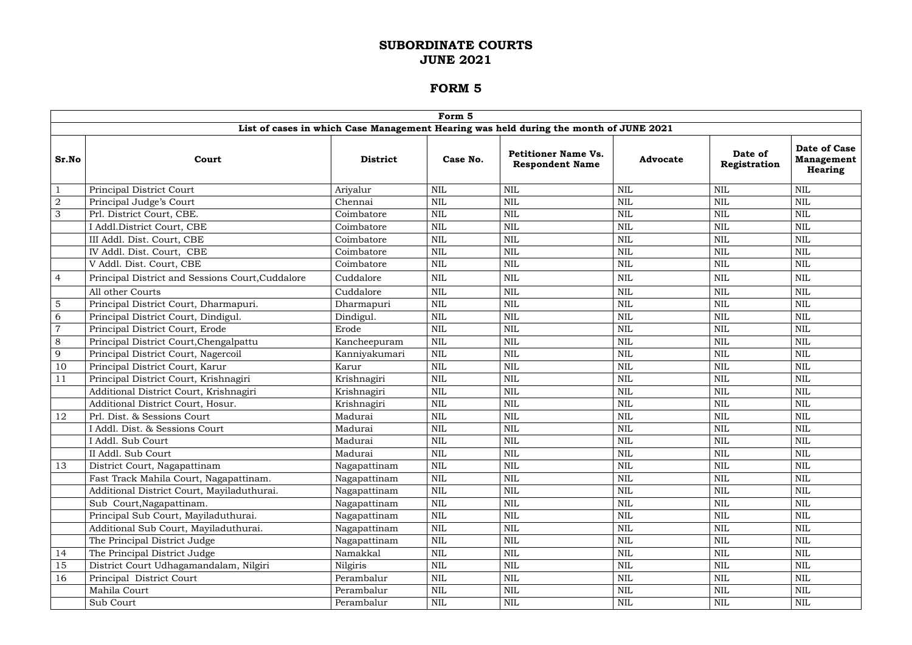|                | Form 5                                           |                 |              |                                                                                       |                 |                         |                                                     |  |  |  |
|----------------|--------------------------------------------------|-----------------|--------------|---------------------------------------------------------------------------------------|-----------------|-------------------------|-----------------------------------------------------|--|--|--|
|                |                                                  |                 |              | List of cases in which Case Management Hearing was held during the month of JUNE 2021 |                 |                         |                                                     |  |  |  |
| Sr.No          | Court                                            | <b>District</b> | Case No.     | <b>Petitioner Name Vs.</b><br><b>Respondent Name</b>                                  | <b>Advocate</b> | Date of<br>Registration | Date of Case<br><b>Management</b><br><b>Hearing</b> |  |  |  |
| $\mathbf{1}$   | Principal District Court                         | Ariyalur        | <b>NIL</b>   | <b>NIL</b>                                                                            | NIL             | <b>NIL</b>              | $\mbox{NIL}$                                        |  |  |  |
| $\overline{2}$ | Principal Judge's Court                          | Chennai         | <b>NIL</b>   | $\mbox{NIL}$                                                                          | NIL             | <b>NIL</b>              | $\mbox{NIL}$                                        |  |  |  |
| 3              | Prl. District Court, CBE.                        | Coimbatore      | <b>NIL</b>   | $\mbox{NIL}$                                                                          | $\textsc{nil}$  | <b>NIL</b>              | $\mbox{NIL}$                                        |  |  |  |
|                | I Addl.District Court, CBE                       | Coimbatore      | <b>NIL</b>   | NIL                                                                                   | NIL             | <b>NIL</b>              | <b>NIL</b>                                          |  |  |  |
|                | III Addl. Dist. Court, CBE                       | Coimbatore      | <b>NIL</b>   | <b>NIL</b>                                                                            | $\mbox{NIL}$    | <b>NIL</b>              | $\mbox{NIL}$                                        |  |  |  |
|                | IV Addl. Dist. Court, CBE                        | Coimbatore      | <b>NIL</b>   | $\mbox{NIL}$                                                                          | $\mbox{NIL}$    | <b>NIL</b>              | $\mbox{NIL}$                                        |  |  |  |
|                | V Addl. Dist. Court, CBE                         | Coimbatore      | <b>NIL</b>   | <b>NIL</b>                                                                            | $\mbox{NIL}$    | <b>NIL</b>              | $\mbox{NIL}$                                        |  |  |  |
| $\overline{4}$ | Principal District and Sessions Court, Cuddalore | Cuddalore       | <b>NIL</b>   | <b>NIL</b>                                                                            | $\mbox{NIL}$    | $\textsc{nil}$          | $\mbox{NIL}$                                        |  |  |  |
|                | All other Courts                                 | Cuddalore       | <b>NIL</b>   | $\mbox{NIL}$                                                                          | <b>NIL</b>      | <b>NIL</b>              | $\mbox{NIL}$                                        |  |  |  |
| $5\phantom{.}$ | Principal District Court, Dharmapuri.            | Dharmapuri      | <b>NIL</b>   | $\mbox{NIL}$                                                                          | $\mbox{NIL}$    | <b>NIL</b>              | $\mbox{NIL}$                                        |  |  |  |
| 6              | Principal District Court, Dindigul.              | Dindigul.       | <b>NIL</b>   | <b>NIL</b>                                                                            | $\mbox{NIL}$    | <b>NIL</b>              | <b>NIL</b>                                          |  |  |  |
| $\overline{7}$ | Principal District Court, Erode                  | Erode           | <b>NIL</b>   | $\mbox{NIL}$                                                                          | $\mbox{NIL}$    | <b>NIL</b>              | $\mbox{NIL}$                                        |  |  |  |
| 8              | Principal District Court, Chengalpattu           | Kancheepuram    | <b>NIL</b>   | $\mbox{NIL}$                                                                          | $\mbox{NIL}$    | <b>NIL</b>              | $\mbox{NIL}$                                        |  |  |  |
| 9              | Principal District Court, Nagercoil              | Kanniyakumari   | <b>NIL</b>   | <b>NIL</b>                                                                            | $\mbox{NIL}$    | <b>NIL</b>              | $\mbox{NIL}$                                        |  |  |  |
| 10             | Principal District Court, Karur                  | Karur           | <b>NIL</b>   | <b>NIL</b>                                                                            | $\mbox{NIL}$    | <b>NIL</b>              | $\mbox{NIL}$                                        |  |  |  |
| 11             | Principal District Court, Krishnagiri            | Krishnagiri     | <b>NIL</b>   | $\mbox{NIL}$                                                                          | $\mbox{NIL}$    | <b>NIL</b>              | $\mbox{NIL}$                                        |  |  |  |
|                | Additional District Court, Krishnagiri           | Krishnagiri     | <b>NIL</b>   | $\mbox{NIL}$                                                                          | <b>NIL</b>      | <b>NIL</b>              | $\mbox{NIL}$                                        |  |  |  |
|                | Additional District Court, Hosur.                | Krishnagiri     | <b>NIL</b>   | $\mbox{NIL}$                                                                          | $\mbox{NIL}$    | <b>NIL</b>              | $\mbox{NIL}$                                        |  |  |  |
| 12             | Prl. Dist. & Sessions Court                      | Madurai         | <b>NIL</b>   | $\mbox{NIL}$                                                                          | $\mbox{NIL}$    | <b>NIL</b>              | $\mbox{NIL}$                                        |  |  |  |
|                | I Addl. Dist. & Sessions Court                   | Madurai         | <b>NIL</b>   | $\mbox{NIL}$                                                                          | $\mbox{NIL}$    | <b>NIL</b>              | $\mbox{NIL}$                                        |  |  |  |
|                | I Addl. Sub Court                                | Madurai         | <b>NIL</b>   | <b>NIL</b>                                                                            | $\mbox{NIL}$    | <b>NIL</b>              | $\mbox{NIL}$                                        |  |  |  |
|                | II Addl. Sub Court                               | Madurai         | $\mbox{NIL}$ | $\mbox{NIL}$                                                                          | $\mbox{NIL}$    | $\mbox{NIL}$            | $\mbox{NIL}$                                        |  |  |  |
| 13             | District Court, Nagapattinam                     | Nagapattinam    | <b>NIL</b>   | <b>NIL</b>                                                                            | $\mbox{NIL}$    | <b>NIL</b>              | $\mbox{NIL}$                                        |  |  |  |
|                | Fast Track Mahila Court, Nagapattinam.           | Nagapattinam    | $\mbox{NIL}$ | <b>NIL</b>                                                                            | $\mbox{NIL}$    | <b>NIL</b>              | <b>NIL</b>                                          |  |  |  |
|                | Additional District Court, Mayiladuthurai.       | Nagapattinam    | <b>NIL</b>   | <b>NIL</b>                                                                            | $\mbox{NIL}$    | <b>NIL</b>              | <b>NIL</b>                                          |  |  |  |
|                | Sub Court, Nagapattinam.                         | Nagapattinam    | $\mbox{NIL}$ | <b>NIL</b>                                                                            | $\mbox{NIL}$    | $\mbox{NIL}$            | $\mbox{NIL}$                                        |  |  |  |
|                | Principal Sub Court, Mayiladuthurai.             | Nagapattinam    | $\mbox{NIL}$ | $\mbox{NIL}$                                                                          | $\mbox{NIL}$    | $\mbox{NIL}$            | <b>NIL</b>                                          |  |  |  |
|                | Additional Sub Court, Mayiladuthurai.            | Nagapattinam    | $\mbox{NIL}$ | NIL                                                                                   | NIL             | $\mbox{NIL}$            | NIL                                                 |  |  |  |
|                | The Principal District Judge                     | Nagapattinam    | $\mbox{NIL}$ | <b>NIL</b>                                                                            | $\mbox{NIL}$    | <b>NIL</b>              | NIL                                                 |  |  |  |
| 14             | The Principal District Judge                     | Namakkal        | $\mbox{NIL}$ | $\mbox{NIL}$                                                                          | $\mbox{NIL}$    | $\mbox{NIL}$            | <b>NIL</b>                                          |  |  |  |
| 15             | District Court Udhagamandalam, Nilgiri           | Nilgiris        | $\mbox{NIL}$ | <b>NIL</b>                                                                            | $\mbox{NIL}$    | <b>NIL</b>              | NIL                                                 |  |  |  |
| 16             | Principal District Court                         | Perambalur      | $\mbox{NIL}$ | $\mbox{NIL}$                                                                          | $\mbox{NIL}$    | <b>NIL</b>              | NIL                                                 |  |  |  |
|                | Mahila Court                                     | Perambalur      | NIL          | <b>NIL</b>                                                                            | <b>NIL</b>      | <b>NIL</b>              | <b>NIL</b>                                          |  |  |  |
|                | Sub Court                                        | Perambalur      | $\mbox{NIL}$ | NIL                                                                                   | NIL             | $\rm NIL$               | $\mbox{NIL}$                                        |  |  |  |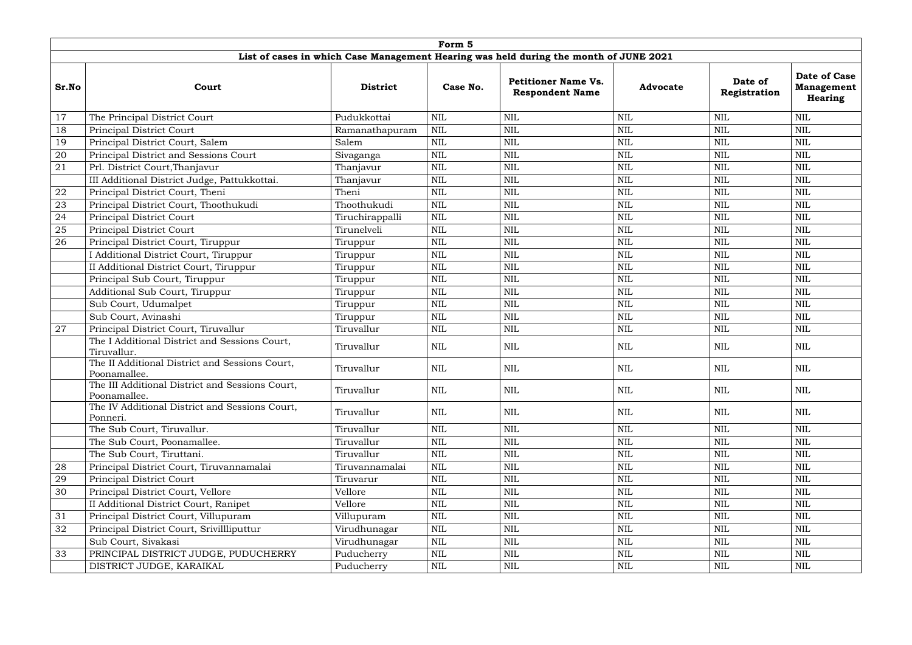|       | Form 5                                                          |                 |            |                                                                                       |                 |                         |                                                     |  |  |  |  |
|-------|-----------------------------------------------------------------|-----------------|------------|---------------------------------------------------------------------------------------|-----------------|-------------------------|-----------------------------------------------------|--|--|--|--|
|       |                                                                 |                 |            | List of cases in which Case Management Hearing was held during the month of JUNE 2021 |                 |                         |                                                     |  |  |  |  |
| Sr.No | Court                                                           | <b>District</b> | Case No.   | <b>Petitioner Name Vs.</b><br><b>Respondent Name</b>                                  | <b>Advocate</b> | Date of<br>Registration | Date of Case<br><b>Management</b><br><b>Hearing</b> |  |  |  |  |
| 17    | The Principal District Court                                    | Pudukkottai     | <b>NIL</b> | <b>NIL</b>                                                                            | <b>NIL</b>      | <b>NIL</b>              | <b>NIL</b>                                          |  |  |  |  |
| 18    | <b>Principal District Court</b>                                 | Ramanathapuram  | NIL        | <b>NIL</b>                                                                            | <b>NIL</b>      | <b>NIL</b>              | <b>NIL</b>                                          |  |  |  |  |
| 19    | Principal District Court, Salem                                 | Salem           | NIL        | <b>NIL</b>                                                                            | <b>NIL</b>      | <b>NIL</b>              | <b>NIL</b>                                          |  |  |  |  |
| 20    | Principal District and Sessions Court                           | Sivaganga       | <b>NIL</b> | <b>NIL</b>                                                                            | <b>NIL</b>      | <b>NIL</b>              | <b>NIL</b>                                          |  |  |  |  |
| 21    | Prl. District Court, Thanjavur                                  | Thanjavur       | <b>NIL</b> | <b>NIL</b>                                                                            | <b>NIL</b>      | <b>NIL</b>              | <b>NIL</b>                                          |  |  |  |  |
|       | III Additional District Judge, Pattukkottai.                    | Thanjavur       | NIL        | <b>NIL</b>                                                                            | <b>NIL</b>      | <b>NIL</b>              | <b>NIL</b>                                          |  |  |  |  |
| 22    | Principal District Court, Theni                                 | Theni           | NIL        | <b>NIL</b>                                                                            | <b>NIL</b>      | <b>NIL</b>              | <b>NIL</b>                                          |  |  |  |  |
| 23    | Principal District Court, Thoothukudi                           | Thoothukudi     | <b>NIL</b> | <b>NIL</b>                                                                            | <b>NIL</b>      | <b>NIL</b>              | <b>NIL</b>                                          |  |  |  |  |
| 24    | <b>Principal District Court</b>                                 | Tiruchirappalli | <b>NIL</b> | <b>NIL</b>                                                                            | <b>NIL</b>      | $\text{NIL}$            | <b>NIL</b>                                          |  |  |  |  |
| 25    | Principal District Court                                        | Tirunelveli     | <b>NIL</b> | <b>NIL</b>                                                                            | <b>NIL</b>      | <b>NIL</b>              | <b>NIL</b>                                          |  |  |  |  |
| 26    | Principal District Court, Tiruppur                              | Tiruppur        | <b>NIL</b> | <b>NIL</b>                                                                            | <b>NIL</b>      | <b>NIL</b>              | <b>NIL</b>                                          |  |  |  |  |
|       | I Additional District Court, Tiruppur                           | Tiruppur        | NIL        | <b>NIL</b>                                                                            | <b>NIL</b>      | <b>NIL</b>              | <b>NIL</b>                                          |  |  |  |  |
|       | II Additional District Court, Tiruppur                          | Tiruppur        | NIL        | <b>NIL</b>                                                                            | <b>NIL</b>      | <b>NIL</b>              | <b>NIL</b>                                          |  |  |  |  |
|       | Principal Sub Court, Tiruppur                                   | Tiruppur        | NIL        | <b>NIL</b>                                                                            | <b>NIL</b>      | <b>NIL</b>              | <b>NIL</b>                                          |  |  |  |  |
|       | Additional Sub Court, Tiruppur                                  | Tiruppur        | <b>NIL</b> | <b>NIL</b>                                                                            | <b>NIL</b>      | $\text{NIL}$            | $\mbox{NIL}$                                        |  |  |  |  |
|       | Sub Court, Udumalpet                                            | Tiruppur        | <b>NIL</b> | <b>NIL</b>                                                                            | <b>NIL</b>      | <b>NIL</b>              | <b>NIL</b>                                          |  |  |  |  |
|       | Sub Court, Avinashi                                             | Tiruppur        | NIL        | <b>NIL</b>                                                                            | <b>NIL</b>      | <b>NIL</b>              | <b>NIL</b>                                          |  |  |  |  |
| 27    | Principal District Court, Tiruvallur                            | Tiruvallur      | <b>NIL</b> | <b>NIL</b>                                                                            | <b>NIL</b>      | <b>NIL</b>              | <b>NIL</b>                                          |  |  |  |  |
|       | The I Additional District and Sessions Court,<br>Tiruvallur.    | Tiruvallur      | NIL        | <b>NIL</b>                                                                            | <b>NIL</b>      | <b>NIL</b>              | <b>NIL</b>                                          |  |  |  |  |
|       | The II Additional District and Sessions Court,<br>Poonamallee.  | Tiruvallur      | <b>NIL</b> | <b>NIL</b>                                                                            | <b>NIL</b>      | <b>NIL</b>              | <b>NIL</b>                                          |  |  |  |  |
|       | The III Additional District and Sessions Court,<br>Poonamallee. | Tiruvallur      | NIL        | <b>NIL</b>                                                                            | <b>NIL</b>      | <b>NIL</b>              | <b>NIL</b>                                          |  |  |  |  |
|       | The IV Additional District and Sessions Court,<br>Ponneri.      | Tiruvallur      | NIL        | <b>NIL</b>                                                                            | $\mbox{NIL}$    | NIL                     | <b>NIL</b>                                          |  |  |  |  |
|       | The Sub Court, Tiruvallur.                                      | Tiruvallur      | <b>NIL</b> | <b>NIL</b>                                                                            | <b>NIL</b>      | <b>NIL</b>              | <b>NIL</b>                                          |  |  |  |  |
|       | The Sub Court, Poonamallee.                                     | Tiruvallur      | NIL        | <b>NIL</b>                                                                            | <b>NIL</b>      | <b>NIL</b>              | <b>NIL</b>                                          |  |  |  |  |
|       | The Sub Court, Tiruttani.                                       | Tiruvallur      | <b>NIL</b> | <b>NIL</b>                                                                            | <b>NIL</b>      | $\text{NIL}$            | <b>NIL</b>                                          |  |  |  |  |
| 28    | Principal District Court, Tiruvannamalai                        | Tiruvannamalai  | <b>NIL</b> | <b>NIL</b>                                                                            | <b>NIL</b>      | $\text{NIL}$            | $\mbox{NIL}$                                        |  |  |  |  |
| 29    | <b>Principal District Court</b>                                 | Tiruvarur       | <b>NIL</b> | <b>NIL</b>                                                                            | <b>NIL</b>      | $\text{NIL}$            | <b>NIL</b>                                          |  |  |  |  |
| 30    | Principal District Court, Vellore                               | Vellore         | NIL        | <b>NIL</b>                                                                            | <b>NIL</b>      | NIL                     | <b>NIL</b>                                          |  |  |  |  |
|       | II Additional District Court, Ranipet                           | Vellore         | <b>NIL</b> | <b>NIL</b>                                                                            | <b>NIL</b>      | NIL                     | $\mbox{NIL}$                                        |  |  |  |  |
| 31    | Principal District Court, Villupuram                            | Villupuram      | NIL        | <b>NIL</b>                                                                            | <b>NIL</b>      | $\text{NIL}$            | <b>NIL</b>                                          |  |  |  |  |
| 32    | Principal District Court, Srivillliputtur                       | Virudhunagar    | NIL        | <b>NIL</b>                                                                            | <b>NIL</b>      | $\text{NIL}$            | <b>NIL</b>                                          |  |  |  |  |
|       | Sub Court, Sivakasi                                             | Virudhunagar    | <b>NIL</b> | <b>NIL</b>                                                                            | <b>NIL</b>      | <b>NIL</b>              | <b>NIL</b>                                          |  |  |  |  |
| 33    | PRINCIPAL DISTRICT JUDGE, PUDUCHERRY                            | Puducherry      | NIL        | <b>NIL</b>                                                                            | <b>NIL</b>      | $\mbox{NIL}$            | $\mbox{NIL}$                                        |  |  |  |  |
|       | DISTRICT JUDGE, KARAIKAL                                        | Puducherry      | NIL        | <b>NIL</b>                                                                            | $\mbox{NIL}$    | NIL                     | NIL                                                 |  |  |  |  |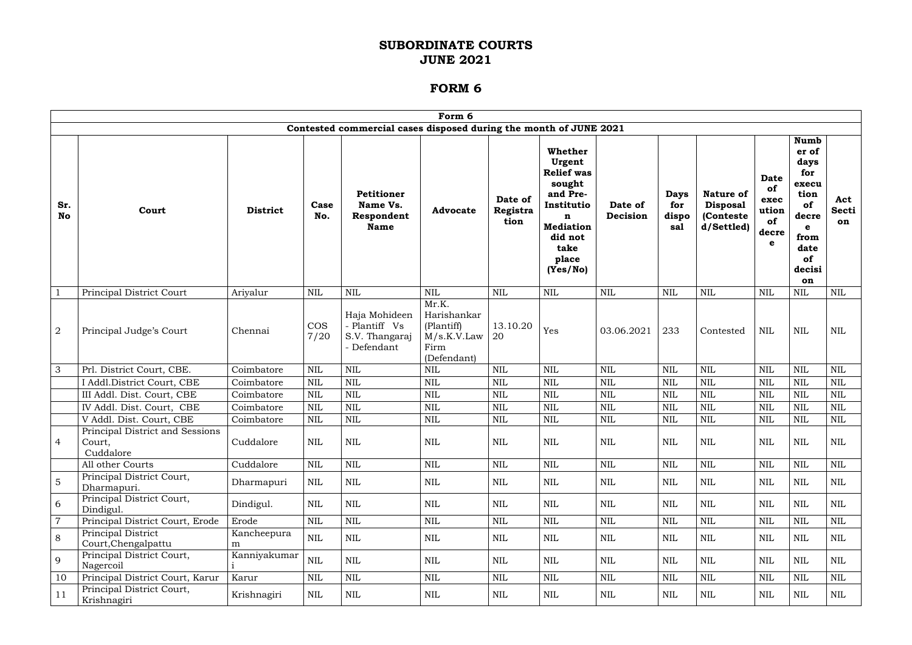|                  | Form 6                                                 |                  |              |                                                                   |                                                                          |                             |                                                                                                                                             |                     |                                    |                                                                 |                                                        |                                                                                                                          |                           |
|------------------|--------------------------------------------------------|------------------|--------------|-------------------------------------------------------------------|--------------------------------------------------------------------------|-----------------------------|---------------------------------------------------------------------------------------------------------------------------------------------|---------------------|------------------------------------|-----------------------------------------------------------------|--------------------------------------------------------|--------------------------------------------------------------------------------------------------------------------------|---------------------------|
|                  |                                                        |                  |              | Contested commercial cases disposed during the month of JUNE 2021 |                                                                          |                             |                                                                                                                                             |                     |                                    |                                                                 |                                                        |                                                                                                                          |                           |
| Sr.<br><b>No</b> | Court                                                  | <b>District</b>  | Case<br>No.  | Petitioner<br>Name Vs.<br>Respondent<br><b>Name</b>               | <b>Advocate</b>                                                          | Date of<br>Registra<br>tion | Whether<br>Urgent<br><b>Relief</b> was<br>sought<br>and Pre-<br>Institutio<br>n<br><b>Mediation</b><br>did not<br>take<br>place<br>(Yes/No) | Date of<br>Decision | <b>Days</b><br>for<br>dispo<br>sal | <b>Nature of</b><br><b>Disposal</b><br>(Conteste)<br>d/Settled) | <b>Date</b><br>of<br>exec<br>ution<br>of<br>decre<br>e | <b>Numb</b><br>er of<br>days<br>for<br>execu<br>tion<br>of<br>decre<br>$\mathbf e$<br>from<br>date<br>of<br>decisi<br>on | Act<br><b>Secti</b><br>on |
|                  | Principal District Court                               | Ariyalur         | <b>NIL</b>   | <b>NIL</b>                                                        | <b>NIL</b>                                                               | <b>NIL</b>                  | <b>NIL</b>                                                                                                                                  | $\text{NIL}$        | <b>NIL</b>                         | <b>NIL</b>                                                      | <b>NIL</b>                                             | <b>NIL</b>                                                                                                               | <b>NIL</b>                |
| $\sqrt{2}$       | Principal Judge's Court                                | Chennai          | COS<br>7/20  | Haja Mohideen<br>- Plantiff Vs<br>S.V. Thangaraj<br>- Defendant   | Mr.K.<br>Harishankar<br>(Plantiff)<br>M/s.K.V.Law<br>Firm<br>(Defendant) | 13.10.20<br>20              | Yes                                                                                                                                         | 03.06.2021          | 233                                | Contested                                                       | <b>NIL</b>                                             | $\mbox{NIL}$                                                                                                             | $\text{NIL}$              |
| 3                | Prl. District Court, CBE.                              | Coimbatore       | <b>NIL</b>   | <b>NIL</b>                                                        | <b>NIL</b>                                                               | <b>NIL</b>                  | <b>NIL</b>                                                                                                                                  | $\mbox{NIL}$        | <b>NIL</b>                         | <b>NIL</b>                                                      | <b>NIL</b>                                             | <b>NIL</b>                                                                                                               | <b>NIL</b>                |
|                  | I Addl.District Court, CBE                             | Coimbatore       | <b>NIL</b>   | <b>NIL</b>                                                        | <b>NIL</b>                                                               | <b>NIL</b>                  | <b>NIL</b>                                                                                                                                  | $\mbox{NIL}$        | <b>NIL</b>                         | <b>NIL</b>                                                      | <b>NIL</b>                                             | <b>NIL</b>                                                                                                               | <b>NIL</b>                |
|                  | III Addl. Dist. Court, CBE                             | Coimbatore       | <b>NIL</b>   | <b>NIL</b>                                                        | <b>NIL</b>                                                               | <b>NIL</b>                  | <b>NIL</b>                                                                                                                                  | <b>NIL</b>          | <b>NIL</b>                         | <b>NIL</b>                                                      | <b>NIL</b>                                             | <b>NIL</b>                                                                                                               | <b>NIL</b>                |
|                  | IV Addl. Dist. Court, CBE                              | Coimbatore       | <b>NIL</b>   | <b>NIL</b>                                                        | <b>NIL</b>                                                               | <b>NIL</b>                  | <b>NIL</b>                                                                                                                                  | $\text{NIL}$        | <b>NIL</b>                         | <b>NIL</b>                                                      | <b>NIL</b>                                             | <b>NIL</b>                                                                                                               | <b>NIL</b>                |
|                  | V Addl. Dist. Court, CBE                               | Coimbatore       | NIL          | <b>NIL</b>                                                        | <b>NIL</b>                                                               | <b>NIL</b>                  | $\mbox{NIL}$                                                                                                                                | $\mbox{NIL}$        | <b>NIL</b>                         | <b>NIL</b>                                                      | NIL                                                    | <b>NIL</b>                                                                                                               | <b>NIL</b>                |
| 4                | Principal District and Sessions<br>Court,<br>Cuddalore | Cuddalore        | <b>NIL</b>   | <b>NIL</b>                                                        | <b>NIL</b>                                                               | $\mbox{NIL}$                | $\mbox{NIL}$                                                                                                                                | $\mbox{NIL}$        | $\mbox{NIL}$                       | $\mbox{NIL}$                                                    | <b>NIL</b>                                             | <b>NIL</b>                                                                                                               | <b>NIL</b>                |
|                  | All other Courts                                       | Cuddalore        | <b>NIL</b>   | $\mbox{NIL}$                                                      | $\mbox{NIL}$                                                             | $\mbox{NIL}$                | $\mbox{NIL}$                                                                                                                                | $\mbox{NIL}$        | <b>NIL</b>                         | $\mbox{NIL}$                                                    | <b>NIL</b>                                             | <b>NIL</b>                                                                                                               | $\mbox{NIL}$              |
| 5                | Principal District Court,<br>Dharmapuri.               | Dharmapuri       | NIL          | $\mbox{NIL}$                                                      | NIL                                                                      | NIL                         | <b>NIL</b>                                                                                                                                  | NIL                 | NIL                                | NIL                                                             | NIL                                                    | <b>NIL</b>                                                                                                               | NIL                       |
| 6                | Principal District Court,<br>Dindigul.                 | Dindigul.        | $\mbox{NIL}$ | $\mbox{NIL}$                                                      | $\mbox{NIL}$                                                             | <b>NIL</b>                  | <b>NIL</b>                                                                                                                                  | NIL                 | $\mbox{NIL}$                       | <b>NIL</b>                                                      | <b>NIL</b>                                             | $\mbox{NIL}$                                                                                                             | <b>NIL</b>                |
| $\overline{7}$   | Principal District Court, Erode                        | Erode            | $\mbox{NIL}$ | $\mbox{NIL}$                                                      | $\mbox{NIL}$                                                             | $\mbox{NIL}$                | $\mbox{NIL}$                                                                                                                                | $\mbox{NIL}$        | $\mbox{NIL}$                       | $\mbox{NIL}$                                                    | <b>NIL</b>                                             | <b>NIL</b>                                                                                                               | $\text{NIL}$              |
| 8                | Principal District<br>Court, Chengalpattu              | Kancheepura<br>m | $\mbox{NIL}$ | $\mbox{NIL}$                                                      | <b>NIL</b>                                                               | <b>NIL</b>                  | NIL                                                                                                                                         | NIL                 | <b>NIL</b>                         | NIL                                                             | NIL                                                    | $\mbox{NIL}$                                                                                                             | NIL                       |
| 9                | Principal District Court,<br>Nagercoil                 | Kanniyakumar     | <b>NIL</b>   | <b>NIL</b>                                                        | NIL                                                                      | NIL                         | <b>NIL</b>                                                                                                                                  | <b>NIL</b>          | <b>NIL</b>                         | NIL                                                             | <b>NIL</b>                                             | <b>NIL</b>                                                                                                               | <b>NIL</b>                |
| 10               | Principal District Court, Karur                        | Karur            | <b>NIL</b>   | <b>NIL</b>                                                        | $\mbox{NIL}$                                                             | NIL                         | <b>NIL</b>                                                                                                                                  | NIL                 | $\mbox{NIL}$                       | $\mbox{NIL}$                                                    | <b>NIL</b>                                             | <b>NIL</b>                                                                                                               | $\mbox{NIL}$              |
| 11               | Principal District Court,<br>Krishnagiri               | Krishnagiri      | $\mbox{NIL}$ | $\mbox{NIL}$                                                      | NIL                                                                      | NIL                         | NIL                                                                                                                                         | NIL                 | NIL                                | NIL                                                             | $\mbox{NIL}$                                           | $\mbox{NIL}$                                                                                                             | $\rm NIL$                 |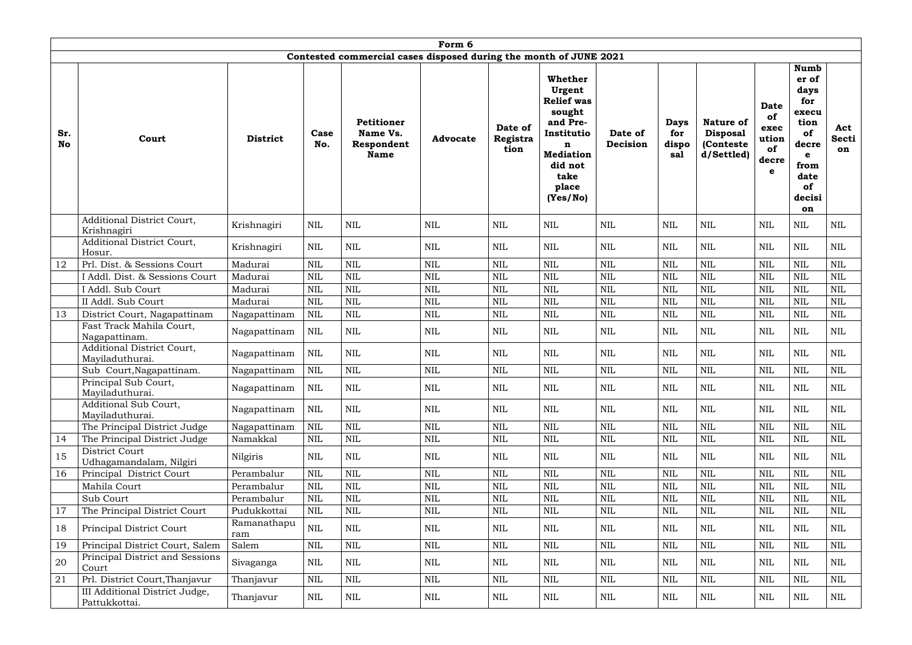|                  | Form 6                                          |                    |              |                                                                   |                 |                             |                                                                                                                                             |                     |                                    |                                                                 |                                                        |                                                                                                                          |                           |
|------------------|-------------------------------------------------|--------------------|--------------|-------------------------------------------------------------------|-----------------|-----------------------------|---------------------------------------------------------------------------------------------------------------------------------------------|---------------------|------------------------------------|-----------------------------------------------------------------|--------------------------------------------------------|--------------------------------------------------------------------------------------------------------------------------|---------------------------|
|                  |                                                 |                    |              | Contested commercial cases disposed during the month of JUNE 2021 |                 |                             |                                                                                                                                             |                     |                                    |                                                                 |                                                        |                                                                                                                          |                           |
| Sr.<br><b>No</b> | Court                                           | <b>District</b>    | Case<br>No.  | <b>Petitioner</b><br>Name Vs.<br>Respondent<br><b>Name</b>        | <b>Advocate</b> | Date of<br>Registra<br>tion | Whether<br>Urgent<br><b>Relief</b> was<br>sought<br>and Pre-<br>Institutio<br>n<br><b>Mediation</b><br>did not<br>take<br>place<br>(Yes/No) | Date of<br>Decision | <b>Days</b><br>for<br>dispo<br>sal | <b>Nature of</b><br><b>Disposal</b><br>(Conteste)<br>d/Settled) | <b>Date</b><br>of<br>exec<br>ution<br>of<br>decre<br>e | <b>Numb</b><br>er of<br>days<br>for<br>execu<br>tion<br>of<br>decre<br>$\mathbf e$<br>from<br>date<br>of<br>decisi<br>on | Act<br><b>Secti</b><br>on |
|                  | Additional District Court,<br>Krishnagiri       | Krishnagiri        | <b>NIL</b>   | <b>NIL</b>                                                        | $\mbox{NIL}$    | <b>NIL</b>                  | $\mbox{NIL}$                                                                                                                                | <b>NIL</b>          | <b>NIL</b>                         | <b>NIL</b>                                                      | <b>NIL</b>                                             | $\mbox{NIL}$                                                                                                             | <b>NIL</b>                |
|                  | Additional District Court,<br>Hosur.            | Krishnagiri        | <b>NIL</b>   | <b>NIL</b>                                                        | <b>NIL</b>      | <b>NIL</b>                  | $\mbox{NIL}$                                                                                                                                | $\mbox{NIL}$        | <b>NIL</b>                         | $\mbox{NIL}$                                                    | <b>NIL</b>                                             | <b>NIL</b>                                                                                                               | <b>NIL</b>                |
| 12               | Prl. Dist. & Sessions Court                     | Madurai            | <b>NIL</b>   | <b>NIL</b>                                                        | <b>NIL</b>      | <b>NIL</b>                  | $\text{NIL}$                                                                                                                                | <b>NIL</b>          | <b>NIL</b>                         | <b>NIL</b>                                                      | <b>NIL</b>                                             | <b>NIL</b>                                                                                                               | <b>NIL</b>                |
|                  | I Addl. Dist. & Sessions Court                  | Madurai            | NIL          | <b>NIL</b>                                                        | <b>NIL</b>      | <b>NIL</b>                  | $\mbox{NIL}$                                                                                                                                | $\mbox{NIL}$        | <b>NIL</b>                         | $\mbox{NIL}$                                                    | <b>NIL</b>                                             | NIL                                                                                                                      | <b>NIL</b>                |
|                  | I Addl. Sub Court                               | Madurai            | <b>NIL</b>   | <b>NIL</b>                                                        | NIL             | <b>NIL</b>                  | $\mbox{NIL}$                                                                                                                                | <b>NIL</b>          | <b>NIL</b>                         | <b>NIL</b>                                                      | <b>NIL</b>                                             | <b>NIL</b>                                                                                                               | <b>NIL</b>                |
|                  | II Addl. Sub Court                              | Madurai            | <b>NIL</b>   | <b>NIL</b>                                                        | <b>NIL</b>      | <b>NIL</b>                  | $\text{NIL}$                                                                                                                                | <b>NIL</b>          | <b>NIL</b>                         | <b>NIL</b>                                                      | <b>NIL</b>                                             | <b>NIL</b>                                                                                                               | <b>NIL</b>                |
| 13               | District Court, Nagapattinam                    | Nagapattinam       | <b>NIL</b>   | <b>NIL</b>                                                        | <b>NIL</b>      | <b>NIL</b>                  | $\text{NIL}$                                                                                                                                | <b>NIL</b>          | <b>NIL</b>                         | <b>NIL</b>                                                      | <b>NIL</b>                                             | <b>NIL</b>                                                                                                               | $\mbox{NIL}$              |
|                  | Fast Track Mahila Court,<br>Nagapattinam.       | Nagapattinam       | <b>NIL</b>   | <b>NIL</b>                                                        | $\mbox{NIL}$    | <b>NIL</b>                  | NIL                                                                                                                                         | <b>NIL</b>          | <b>NIL</b>                         | $\text{NIL}$                                                    | <b>NIL</b>                                             | <b>NIL</b>                                                                                                               | $\mbox{NIL}$              |
|                  | Additional District Court,<br>Mayiladuthurai.   | Nagapattinam       | <b>NIL</b>   | <b>NIL</b>                                                        | <b>NIL</b>      | <b>NIL</b>                  | NIL                                                                                                                                         | <b>NIL</b>          | <b>NIL</b>                         | <b>NIL</b>                                                      | <b>NIL</b>                                             | <b>NIL</b>                                                                                                               | <b>NIL</b>                |
|                  | Sub Court, Nagapattinam.                        | Nagapattinam       | <b>NIL</b>   | <b>NIL</b>                                                        | NIL             | $\text{NIL}$                | $\text{NIL}$                                                                                                                                | <b>NIL</b>          | <b>NIL</b>                         | <b>NIL</b>                                                      | <b>NIL</b>                                             | $\mbox{NIL}$                                                                                                             | $\mbox{NIL}$              |
|                  | Principal Sub Court,<br>Mayiladuthurai.         | Nagapattinam       | NIL          | <b>NIL</b>                                                        | $\mbox{NIL}$    | <b>NIL</b>                  | $\mbox{NIL}$                                                                                                                                | <b>NIL</b>          | $\mbox{NIL}$                       | $\mbox{NIL}$                                                    | <b>NIL</b>                                             | <b>NIL</b>                                                                                                               | <b>NIL</b>                |
|                  | Additional Sub Court,<br>Mayiladuthurai.        | Nagapattinam       | NIL          | <b>NIL</b>                                                        | $\mbox{NIL}$    | NIL                         | NIL                                                                                                                                         | <b>NIL</b>          | <b>NIL</b>                         | <b>NIL</b>                                                      | <b>NIL</b>                                             | NIL                                                                                                                      | <b>NIL</b>                |
|                  | The Principal District Judge                    | Nagapattinam       | <b>NIL</b>   | <b>NIL</b>                                                        | $\mbox{NIL}$    | $\mbox{NIL}$                | $\mbox{NIL}$                                                                                                                                | $\mbox{NIL}$        | NIL                                | <b>NIL</b>                                                      | <b>NIL</b>                                             | $\mbox{NIL}$                                                                                                             | <b>NIL</b>                |
| 14               | The Principal District Judge                    | Namakkal           | <b>NIL</b>   | $\mbox{NIL}$                                                      | $\mbox{NIL}$    | $\mbox{NIL}$                | $\mbox{NIL}$                                                                                                                                | $\mbox{NIL}$        | $\rm NIL$                          | $\mbox{NIL}$                                                    | <b>NIL</b>                                             | $\mbox{NIL}$                                                                                                             | $\mbox{NIL}$              |
| 15               | District Court<br>Udhagamandalam, Nilgiri       | Nilgiris           | NIL          | NIL                                                               | NIL             | NIL                         | NIL                                                                                                                                         | NIL                 | <b>NIL</b>                         | NIL                                                             | NIL                                                    | NIL                                                                                                                      | NIL                       |
| 16               | Principal District Court                        | Perambalur         | <b>NIL</b>   | $\mbox{NIL}$                                                      | $\mbox{NIL}$    | <b>NIL</b>                  | $\mbox{NIL}$                                                                                                                                | $\mbox{NIL}$        | NIL                                | $\mbox{NIL}$                                                    | <b>NIL</b>                                             | $\mbox{NIL}$                                                                                                             | <b>NIL</b>                |
|                  | Mahila Court                                    | Perambalur         | NIL          | <b>NIL</b>                                                        | $\mbox{NIL}$    | NIL                         | NIL                                                                                                                                         | $\mbox{NIL}$        | <b>NIL</b>                         | <b>NIL</b>                                                      | <b>NIL</b>                                             | <b>NIL</b>                                                                                                               | <b>NIL</b>                |
|                  | Sub Court                                       | Perambalur         | NIL          | <b>NIL</b>                                                        | $\mbox{NIL}$    | $\text{NIL}$                | NIL                                                                                                                                         | $\mbox{NIL}$        | <b>NIL</b>                         | <b>NIL</b>                                                      | <b>NIL</b>                                             | <b>NIL</b>                                                                                                               | <b>NIL</b>                |
| 17               | The Principal District Court                    | Pudukkottai        | NIL          | <b>NIL</b>                                                        | $\mbox{NIL}$    | NIL                         | NIL                                                                                                                                         | <b>NIL</b>          | $\rm NIL$                          | <b>NIL</b>                                                      | <b>NIL</b>                                             | <b>NIL</b>                                                                                                               | NIL                       |
| 18               | <b>Principal District Court</b>                 | Ramanathapu<br>ram | $\mbox{NIL}$ | <b>NIL</b>                                                        | $\mbox{NIL}$    | <b>NIL</b>                  | NIL                                                                                                                                         | NIL                 | <b>NIL</b>                         | $\mbox{NIL}$                                                    | <b>NIL</b>                                             | <b>NIL</b>                                                                                                               | NIL                       |
| 19               | Principal District Court, Salem                 | Salem              | <b>NIL</b>   | <b>NIL</b>                                                        | NIL             | $\mbox{NIL}$                | $\mbox{NIL}$                                                                                                                                | $\mbox{NIL}$        | $\mbox{NIL}$                       | $\mbox{NIL}$                                                    | <b>NIL</b>                                             | $\mbox{NIL}$                                                                                                             | <b>NIL</b>                |
| 20               | Principal District and Sessions<br>Court        | Sivaganga          | NIL          | NIL                                                               | NIL             | NIL                         | NIL                                                                                                                                         | NIL                 | <b>NIL</b>                         | $\mbox{NIL}$                                                    | <b>NIL</b>                                             | NIL                                                                                                                      | NIL                       |
| 21               | Prl. District Court, Thanjavur                  | Thanjavur          | <b>NIL</b>   | $\mbox{NIL}$                                                      | NIL             | <b>NIL</b>                  | $\mbox{NIL}$                                                                                                                                | $\mbox{NIL}$        | $\text{NIL}$                       | $\mbox{NIL}$                                                    | <b>NIL</b>                                             | $\mbox{NIL}$                                                                                                             | <b>NIL</b>                |
|                  | III Additional District Judge,<br>Pattukkottai. | Thanjavur          | NIL          | NIL                                                               | NIL             | NIL                         | NIL                                                                                                                                         | NIL                 | $\mbox{NIL}$                       | $\rm NIL$                                                       | NIL                                                    | NIL                                                                                                                      | $\rm NIL$                 |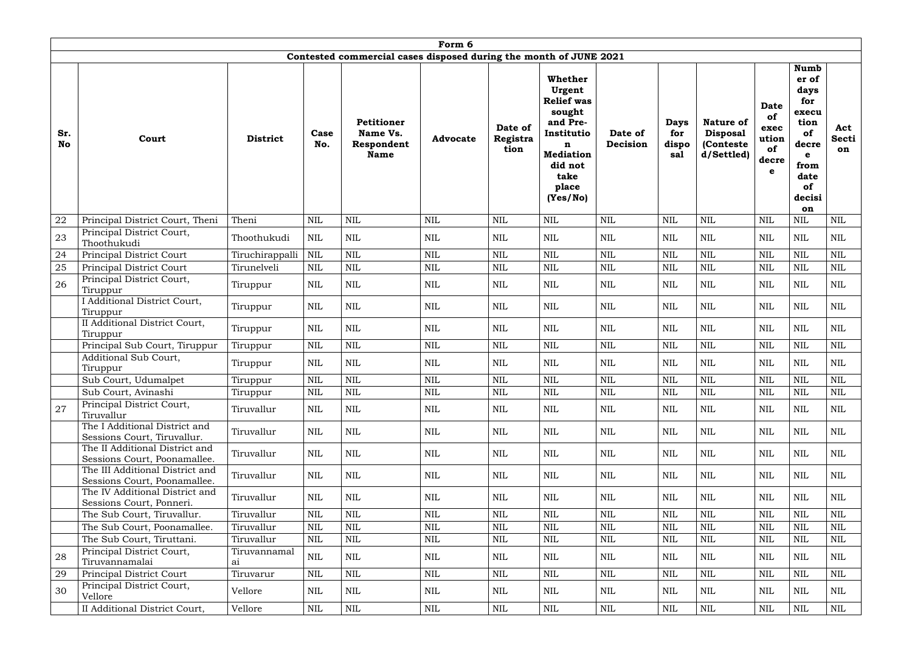|                  | Form 6                                                          |                    |             |                                                                   |                 |                             |                                                                                                                                                       |                     |                                    |                                                                 |                                                        |                                                                                                                          |                           |
|------------------|-----------------------------------------------------------------|--------------------|-------------|-------------------------------------------------------------------|-----------------|-----------------------------|-------------------------------------------------------------------------------------------------------------------------------------------------------|---------------------|------------------------------------|-----------------------------------------------------------------|--------------------------------------------------------|--------------------------------------------------------------------------------------------------------------------------|---------------------------|
|                  |                                                                 |                    |             | Contested commercial cases disposed during the month of JUNE 2021 |                 |                             |                                                                                                                                                       |                     |                                    |                                                                 |                                                        |                                                                                                                          |                           |
| Sr.<br><b>No</b> | Court                                                           | <b>District</b>    | Case<br>No. | <b>Petitioner</b><br>Name Vs.<br>Respondent<br><b>Name</b>        | <b>Advocate</b> | Date of<br>Registra<br>tion | Whether<br>Urgent<br><b>Relief was</b><br>sought<br>and Pre-<br>Institutio<br>$\mathbf n$<br><b>Mediation</b><br>did not<br>take<br>place<br>(Yes/No) | Date of<br>Decision | <b>Days</b><br>for<br>dispo<br>sal | <b>Nature of</b><br><b>Disposal</b><br>(Conteste)<br>d/Settled) | <b>Date</b><br>of<br>exec<br>ution<br>of<br>decre<br>e | <b>Numb</b><br>er of<br>days<br>for<br>execu<br>tion<br>of<br>decre<br>$\mathbf e$<br>from<br>date<br>of<br>decisi<br>on | Act<br><b>Secti</b><br>on |
| 22               | Principal District Court, Theni                                 | Theni              | <b>NIL</b>  | <b>NIL</b>                                                        | $\mbox{NIL}$    | <b>NIL</b>                  | $\mbox{NIL}$                                                                                                                                          | <b>NIL</b>          | <b>NIL</b>                         | NIL                                                             | <b>NIL</b>                                             | $\mbox{NIL}$                                                                                                             | <b>NIL</b>                |
| 23               | Principal District Court,<br>Thoothukudi                        | Thoothukudi        | <b>NIL</b>  | <b>NIL</b>                                                        | NIL             | <b>NIL</b>                  | <b>NIL</b>                                                                                                                                            | <b>NIL</b>          | NIL                                | NIL                                                             | <b>NIL</b>                                             | <b>NIL</b>                                                                                                               | <b>NIL</b>                |
| 24               | Principal District Court                                        | Tiruchirappalli    | <b>NIL</b>  | <b>NIL</b>                                                        | $\mbox{NIL}$    | $\mbox{NIL}$                | <b>NIL</b>                                                                                                                                            | <b>NIL</b>          | <b>NIL</b>                         | NIL                                                             | <b>NIL</b>                                             | <b>NIL</b>                                                                                                               | NIL                       |
| 25               | Principal District Court                                        | Tirunelveli        | <b>NIL</b>  | <b>NIL</b>                                                        | NIL             | $\mbox{NIL}$                | <b>NIL</b>                                                                                                                                            | <b>NIL</b>          | <b>NIL</b>                         | <b>NIL</b>                                                      | <b>NIL</b>                                             | <b>NIL</b>                                                                                                               | $\mbox{NIL}$              |
| 26               | Principal District Court,<br>Tiruppur                           | Tiruppur           | <b>NIL</b>  | <b>NIL</b>                                                        | $\mbox{NIL}$    | <b>NIL</b>                  | $\mbox{NIL}$                                                                                                                                          | $\mbox{NIL}$        | <b>NIL</b>                         | <b>NIL</b>                                                      | <b>NIL</b>                                             | NIL                                                                                                                      | <b>NIL</b>                |
|                  | I Additional District Court,<br>Tiruppur                        | Tiruppur           | <b>NIL</b>  | <b>NIL</b>                                                        | $\mbox{NIL}$    | <b>NIL</b>                  | <b>NIL</b>                                                                                                                                            | $\mbox{NIL}$        | <b>NIL</b>                         | <b>NIL</b>                                                      | <b>NIL</b>                                             | $\mbox{NIL}$                                                                                                             | <b>NIL</b>                |
|                  | II Additional District Court,<br>Tiruppur                       | Tiruppur           | <b>NIL</b>  | <b>NIL</b>                                                        | <b>NIL</b>      | <b>NIL</b>                  | <b>NIL</b>                                                                                                                                            | NIL                 | <b>NIL</b>                         | <b>NIL</b>                                                      | <b>NIL</b>                                             | <b>NIL</b>                                                                                                               | <b>NIL</b>                |
|                  | Principal Sub Court, Tiruppur                                   | Tiruppur           | <b>NIL</b>  | <b>NIL</b>                                                        | $\mbox{NIL}$    | $\mbox{NIL}$                | $\text{NIL}$                                                                                                                                          | <b>NIL</b>          | <b>NIL</b>                         | <b>NIL</b>                                                      | <b>NIL</b>                                             | <b>NIL</b>                                                                                                               | $\mbox{NIL}$              |
|                  | Additional Sub Court,<br>Tiruppur                               | Tiruppur           | <b>NIL</b>  | <b>NIL</b>                                                        | $\mbox{NIL}$    | <b>NIL</b>                  | NIL                                                                                                                                                   | <b>NIL</b>          | <b>NIL</b>                         | <b>NIL</b>                                                      | <b>NIL</b>                                             | NIL                                                                                                                      | <b>NIL</b>                |
|                  | Sub Court, Udumalpet                                            | Tiruppur           | <b>NIL</b>  | $\mbox{NIL}$                                                      | $\mbox{NIL}$    | $\mbox{NIL}$                | $\mbox{NIL}$                                                                                                                                          | NIL                 | <b>NIL</b>                         | $\mbox{NIL}$                                                    | <b>NIL</b>                                             | <b>NIL</b>                                                                                                               | $\mbox{NIL}$              |
|                  | Sub Court, Avinashi                                             | Tiruppur           | <b>NIL</b>  | <b>NIL</b>                                                        | $\mbox{NIL}$    | $\mbox{NIL}$                | <b>NIL</b>                                                                                                                                            | <b>NIL</b>          | <b>NIL</b>                         | <b>NIL</b>                                                      | <b>NIL</b>                                             | NIL                                                                                                                      | <b>NIL</b>                |
| 27               | Principal District Court,<br>Tiruvallur                         | Tiruvallur         | <b>NIL</b>  | <b>NIL</b>                                                        | $\mbox{NIL}$    | <b>NIL</b>                  | <b>NIL</b>                                                                                                                                            | <b>NIL</b>          | <b>NIL</b>                         | <b>NIL</b>                                                      | <b>NIL</b>                                             | <b>NIL</b>                                                                                                               | <b>NIL</b>                |
|                  | The I Additional District and<br>Sessions Court, Tiruvallur.    | Tiruvallur         | NIL         | <b>NIL</b>                                                        | NIL             | NIL                         | NIL                                                                                                                                                   | <b>NIL</b>          | <b>NIL</b>                         | NIL                                                             | <b>NIL</b>                                             | $\mbox{NIL}$                                                                                                             | <b>NIL</b>                |
|                  | The II Additional District and<br>Sessions Court, Poonamallee.  | Tiruvallur         | <b>NIL</b>  | $\mbox{NIL}$                                                      | $\mbox{NIL}$    | <b>NIL</b>                  | <b>NIL</b>                                                                                                                                            | <b>NIL</b>          | <b>NIL</b>                         | NIL                                                             | <b>NIL</b>                                             | $\mbox{NIL}$                                                                                                             | <b>NIL</b>                |
|                  | The III Additional District and<br>Sessions Court, Poonamallee. | Tiruvallur         | NIL         | <b>NIL</b>                                                        | NIL             | NIL                         | NIL                                                                                                                                                   | NIL                 | NIL                                | NIL                                                             | <b>NIL</b>                                             | NIL                                                                                                                      | <b>NIL</b>                |
|                  | The IV Additional District and<br>Sessions Court, Ponneri.      | Tiruvallur         | <b>NIL</b>  | <b>NIL</b>                                                        | NIL             | <b>NIL</b>                  | NIL                                                                                                                                                   | <b>NIL</b>          | <b>NIL</b>                         | <b>NIL</b>                                                      | <b>NIL</b>                                             | $\mbox{NIL}$                                                                                                             | NIL                       |
|                  | The Sub Court, Tiruvallur.                                      | Tiruvallur         | <b>NIL</b>  | <b>NIL</b>                                                        | $\mbox{NIL}$    | $\mbox{NIL}$                | $\text{NIL}$                                                                                                                                          | <b>NIL</b>          | <b>NIL</b>                         | NIL                                                             | <b>NIL</b>                                             | <b>NIL</b>                                                                                                               | <b>NIL</b>                |
|                  | The Sub Court, Poonamallee.                                     | Tiruvallur         | <b>NIL</b>  | <b>NIL</b>                                                        | $\mbox{NIL}$    | $\mbox{NIL}$                | $\mbox{NIL}$                                                                                                                                          | $\mbox{NIL}$        | <b>NIL</b>                         | $\mbox{NIL}$                                                    | <b>NIL</b>                                             | <b>NIL</b>                                                                                                               | $\mbox{NIL}$              |
|                  | The Sub Court, Tiruttani.                                       | Tiruvallur         | <b>NIL</b>  | <b>NIL</b>                                                        | $\mbox{NIL}$    | <b>NIL</b>                  | <b>NIL</b>                                                                                                                                            | <b>NIL</b>          | <b>NIL</b>                         | NIL                                                             | <b>NIL</b>                                             | <b>NIL</b>                                                                                                               | <b>NIL</b>                |
| 28               | Principal District Court,<br>Tiruvannamalai                     | Tiruvannamal<br>a1 | NIL         | <b>NIL</b>                                                        | $\mbox{NIL}$    | NIL                         | NIL                                                                                                                                                   | NIL                 | NIL                                | NIL                                                             | <b>NIL</b>                                             | $\text{NIL}$                                                                                                             | NIL                       |
| 29               | Principal District Court                                        | Tiruvarur          | <b>NIL</b>  | <b>NIL</b>                                                        | $\mbox{NIL}$    | $\mbox{NIL}$                | $\mbox{NIL}$                                                                                                                                          | NIL                 | <b>NIL</b>                         | NIL                                                             | <b>NIL</b>                                             | <b>NIL</b>                                                                                                               | $\mbox{NIL}$              |
| 30               | Principal District Court,<br>Vellore                            | Vellore            | <b>NIL</b>  | <b>NIL</b>                                                        | <b>NIL</b>      | NIL                         | NIL                                                                                                                                                   | <b>NIL</b>          | <b>NIL</b>                         | NIL                                                             | <b>NIL</b>                                             | <b>NIL</b>                                                                                                               | <b>NIL</b>                |
|                  | II Additional District Court,                                   | Vellore            | NIL         | <b>NIL</b>                                                        | NIL             | NIL                         | NIL                                                                                                                                                   | NIL                 | <b>NIL</b>                         | NIL                                                             | <b>NIL</b>                                             | NIL                                                                                                                      | NIL                       |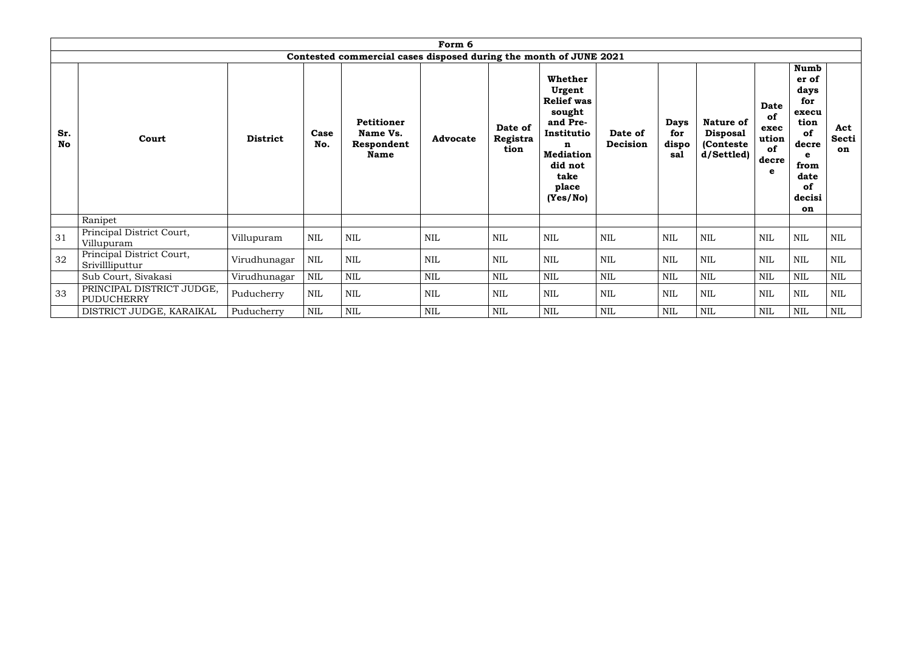|                  | Form 6<br>Contested commercial cases disposed during the month of JUNE 2021 |                 |              |                                                            |                 |                             |                                                                                                                                             |                     |                                    |                                                          |                                                 |                                                                                                                |                           |
|------------------|-----------------------------------------------------------------------------|-----------------|--------------|------------------------------------------------------------|-----------------|-----------------------------|---------------------------------------------------------------------------------------------------------------------------------------------|---------------------|------------------------------------|----------------------------------------------------------|-------------------------------------------------|----------------------------------------------------------------------------------------------------------------|---------------------------|
| Sr.<br><b>No</b> | Court                                                                       | <b>District</b> | Case<br>No.  | <b>Petitioner</b><br>Name Vs.<br>Respondent<br><b>Name</b> | <b>Advocate</b> | Date of<br>Registra<br>tion | Whether<br>Urgent<br><b>Relief was</b><br>sought<br>and Pre-<br>Institutio<br>n<br><b>Mediation</b><br>did not<br>take<br>place<br>(Yes/No) | Date of<br>Decision | <b>Days</b><br>for<br>dispo<br>sal | Nature of<br><b>Disposal</b><br>(Conteste)<br>d/Settled) | Date<br>of<br>exec<br>ution<br>of<br>decre<br>e | <b>Numb</b><br>er of<br>days<br>for<br>execu<br>tion<br>of<br>decre<br>e<br>from<br>date<br>of<br>decisi<br>on | Act<br><b>Secti</b><br>on |
|                  | Ranipet                                                                     |                 |              |                                                            |                 |                             |                                                                                                                                             |                     |                                    |                                                          |                                                 |                                                                                                                |                           |
| 31               | Principal District Court,<br>Villupuram                                     | Villupuram      | <b>NIL</b>   | <b>NIL</b>                                                 | NIL             | NIL                         | NIL                                                                                                                                         | NIL                 | NIL                                | <b>NIL</b>                                               | <b>NIL</b>                                      | NIL                                                                                                            | NIL                       |
| 32               | Principal District Court,<br>Srivillliputtur                                | Virudhunagar    | <b>NIL</b>   | <b>NIL</b>                                                 | NIL             | <b>NIL</b>                  | NIL                                                                                                                                         | <b>NIL</b>          | <b>NIL</b>                         | <b>NIL</b>                                               | <b>NIL</b>                                      | <b>NIL</b>                                                                                                     | <b>NIL</b>                |
|                  | Sub Court, Sivakasi                                                         | Virudhunagar    | <b>NIL</b>   | <b>NIL</b>                                                 | NIL             | NIL                         | $\mbox{NIL}$                                                                                                                                | NIL                 | <b>NIL</b>                         | <b>NIL</b>                                               | <b>NIL</b>                                      | NIL                                                                                                            | NIL                       |
| 33               | PRINCIPAL DISTRICT JUDGE,<br><b>PUDUCHERRY</b>                              | Puducherry      | $\mbox{NIL}$ | $\mbox{NIL}$                                               | NIL             | $\mbox{NIL}$                | $\mbox{NIL}$                                                                                                                                | <b>NIL</b>          | NIL                                | $\mbox{NIL}$                                             | NIL                                             | $\mbox{NIL}$                                                                                                   | <b>NIL</b>                |
|                  | DISTRICT JUDGE, KARAIKAL                                                    | Puducherry      | NIL          | <b>NIL</b>                                                 | $\mbox{NIL}$    | $\text{NIL}$                | $\mbox{NIL}$                                                                                                                                | NIL                 | $\mbox{NIL}$                       | NIL                                                      | <b>NIL</b>                                      | <b>NIL</b>                                                                                                     | <b>NIL</b>                |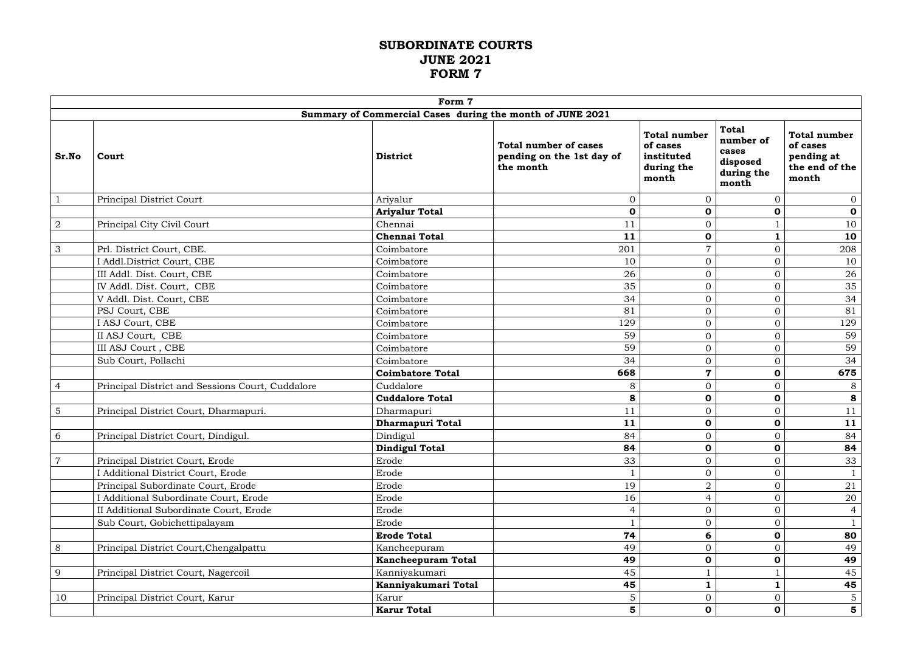#### **SUBORDINATE COURTS JUNE 2021 FORM 7**

|                |                                                  | Form 7                                                    |                                                                        |                                                                      |                                                                       |                                                                          |
|----------------|--------------------------------------------------|-----------------------------------------------------------|------------------------------------------------------------------------|----------------------------------------------------------------------|-----------------------------------------------------------------------|--------------------------------------------------------------------------|
|                |                                                  | Summary of Commercial Cases during the month of JUNE 2021 |                                                                        |                                                                      |                                                                       |                                                                          |
| Sr.No          | Court                                            | <b>District</b>                                           | <b>Total number of cases</b><br>pending on the 1st day of<br>the month | <b>Total number</b><br>of cases<br>instituted<br>during the<br>month | <b>Total</b><br>number of<br>cases<br>disposed<br>during the<br>month | <b>Total number</b><br>of cases<br>pending at<br>the end of the<br>month |
| $\mathbf{1}$   | Principal District Court                         | Ariyalur                                                  | $\overline{0}$                                                         | $\Omega$                                                             | $\overline{0}$                                                        | $\overline{0}$                                                           |
|                |                                                  | <b>Ariyalur Total</b>                                     | $\mathbf 0$                                                            | $\mathbf 0$                                                          | $\mathbf 0$                                                           | $\mathbf 0$                                                              |
| $\sqrt{2}$     | Principal City Civil Court                       | Chennai                                                   | 11                                                                     | $\overline{0}$                                                       |                                                                       | 10                                                                       |
|                |                                                  | <b>Chennai Total</b>                                      | 11                                                                     | $\mathbf 0$                                                          |                                                                       | 10                                                                       |
| $\mathfrak{Z}$ | Prl. District Court, CBE.                        | Coimbatore                                                | 201                                                                    | $\overline{7}$                                                       | $\overline{0}$                                                        | 208                                                                      |
|                | I Addl.District Court, CBE                       | Coimbatore                                                | 10                                                                     | $\overline{0}$                                                       | $\mathbf{0}$                                                          | 10                                                                       |
|                | III Addl. Dist. Court, CBE                       | Coimbatore                                                | 26                                                                     | $\Omega$                                                             | $\overline{0}$                                                        | 26                                                                       |
|                | IV Addl. Dist. Court, CBE                        | Coimbatore                                                | 35                                                                     | $\overline{0}$                                                       | $\Omega$                                                              | 35                                                                       |
|                | V Addl. Dist. Court, CBE                         | Coimbatore                                                | 34                                                                     | $\overline{O}$                                                       | $\mathbf{0}$                                                          | 34                                                                       |
|                | PSJ Court, CBE                                   | Coimbatore                                                | 81                                                                     | $\overline{O}$                                                       | $\mathbf{0}$                                                          | 81                                                                       |
|                | I ASJ Court, CBE                                 | Coimbatore                                                | 129                                                                    | $\overline{O}$                                                       | $\mathbf{0}$                                                          | 129                                                                      |
|                | II ASJ Court, CBE                                | Coimbatore                                                | 59                                                                     | $\overline{0}$                                                       | $\mathbf{0}$                                                          | 59                                                                       |
|                | III ASJ Court, CBE                               | Coimbatore                                                | 59                                                                     | $\overline{0}$                                                       | $\mathbf{0}$                                                          | 59                                                                       |
|                | Sub Court, Pollachi                              | Coimbatore                                                | 34                                                                     | $\overline{0}$                                                       | $\overline{0}$                                                        | 34                                                                       |
|                |                                                  | <b>Coimbatore Total</b>                                   | 668                                                                    | $\overline{7}$                                                       | $\mathbf 0$                                                           | 675                                                                      |
| $\overline{4}$ | Principal District and Sessions Court, Cuddalore | Cuddalore                                                 | 8                                                                      | $\overline{O}$                                                       | $\mathbf{0}$                                                          | $8\,$                                                                    |
|                |                                                  | <b>Cuddalore Total</b>                                    | 8                                                                      | $\mathbf 0$                                                          | $\mathbf 0$                                                           | 8                                                                        |
| $5\phantom{.}$ | Principal District Court, Dharmapuri.            | Dharmapuri                                                | 11                                                                     | $\overline{0}$                                                       | $\Omega$                                                              | 11                                                                       |
|                |                                                  | Dharmapuri Total                                          | 11                                                                     | $\mathbf 0$                                                          | $\mathbf 0$                                                           | 11                                                                       |
| 6              | Principal District Court, Dindigul.              | Dindigul                                                  | 84                                                                     | $\overline{0}$                                                       | $\overline{0}$                                                        | 84                                                                       |
|                |                                                  | <b>Dindigul Total</b>                                     | 84                                                                     | $\mathbf 0$                                                          | $\mathbf 0$                                                           | 84                                                                       |
| $\overline{7}$ | Principal District Court, Erode                  | Erode                                                     | 33                                                                     | $\overline{0}$                                                       | $\overline{0}$                                                        | 33                                                                       |
|                | I Additional District Court, Erode               | Erode                                                     |                                                                        | $\overline{0}$                                                       | $\mathbf{0}$                                                          |                                                                          |
|                | Principal Subordinate Court, Erode               | Erode                                                     | 19                                                                     | $\overline{2}$                                                       | $\overline{0}$                                                        | 21                                                                       |
|                | I Additional Subordinate Court, Erode            | Erode                                                     | 16                                                                     | $\Delta$                                                             | $\Omega$                                                              | 20                                                                       |
|                | II Additional Subordinate Court, Erode           | Erode                                                     | $\overline{4}$                                                         | $\overline{0}$                                                       | $\mathbf{0}$                                                          | $\overline{4}$                                                           |
|                | Sub Court, Gobichettipalayam                     | Erode                                                     |                                                                        | $\overline{0}$                                                       | $\overline{0}$                                                        | $\mathbf{1}$                                                             |
|                |                                                  | <b>Erode Total</b>                                        | 74                                                                     | 6                                                                    | $\mathbf 0$                                                           | 80                                                                       |
| 8              | Principal District Court, Chengalpattu           | Kancheepuram                                              | 49                                                                     | $\overline{0}$                                                       | $\overline{0}$                                                        | 49                                                                       |
|                |                                                  | Kancheepuram Total                                        | 49                                                                     | $\mathbf 0$                                                          | $\mathbf 0$                                                           | 49                                                                       |
| 9              | Principal District Court, Nagercoil              | Kanniyakumari                                             | 45                                                                     |                                                                      |                                                                       | 45                                                                       |
|                |                                                  | Kanniyakumari Total                                       | 45                                                                     |                                                                      |                                                                       | 45                                                                       |
| 10             | Principal District Court, Karur                  | Karur                                                     | 5                                                                      | $\overline{0}$                                                       | $\mathbf{0}$                                                          | 5 <sub>1</sub>                                                           |
|                |                                                  | <b>Karur Total</b>                                        | $5\phantom{1}$                                                         | $\mathbf 0$                                                          | $\mathbf 0$                                                           | $5\phantom{a}$                                                           |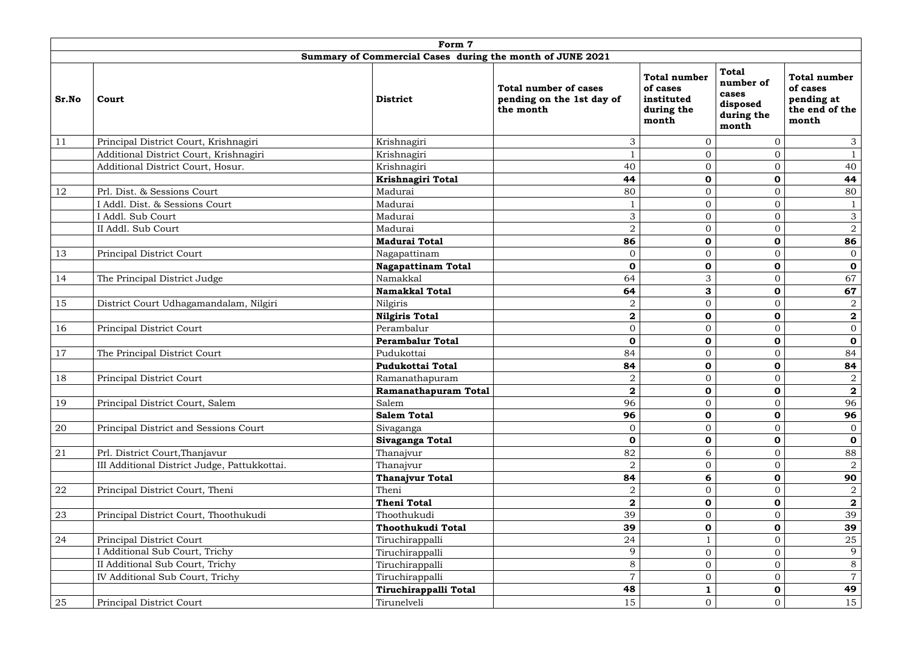|            |                                              | Form 7                                                    |                                                                        |                                                                      |                                                                       |                                                                          |
|------------|----------------------------------------------|-----------------------------------------------------------|------------------------------------------------------------------------|----------------------------------------------------------------------|-----------------------------------------------------------------------|--------------------------------------------------------------------------|
|            |                                              | Summary of Commercial Cases during the month of JUNE 2021 |                                                                        |                                                                      |                                                                       |                                                                          |
| Sr.No      | Court                                        | <b>District</b>                                           | <b>Total number of cases</b><br>pending on the 1st day of<br>the month | <b>Total number</b><br>of cases<br>instituted<br>during the<br>month | <b>Total</b><br>number of<br>cases<br>disposed<br>during the<br>month | <b>Total number</b><br>of cases<br>pending at<br>the end of the<br>month |
| 11         | Principal District Court, Krishnagiri        | Krishnagiri                                               | 3                                                                      | $\overline{0}$                                                       | $\overline{0}$                                                        | 3                                                                        |
|            | Additional District Court, Krishnagiri       | Krishnagiri                                               |                                                                        | $\overline{0}$                                                       | $\overline{0}$                                                        |                                                                          |
|            | Additional District Court, Hosur.            | Krishnagiri                                               | 40                                                                     | $\overline{0}$                                                       | $\Omega$                                                              | 40                                                                       |
|            |                                              | Krishnagiri Total                                         | 44                                                                     | $\mathbf 0$                                                          | $\mathbf 0$                                                           | 44                                                                       |
| 12         | Prl. Dist. & Sessions Court                  | Madurai                                                   | 80                                                                     | $\overline{0}$                                                       | $\overline{0}$                                                        | 80                                                                       |
|            | I Addl. Dist. & Sessions Court               | Madurai                                                   |                                                                        | $\mathbf{0}$                                                         | $\overline{0}$                                                        |                                                                          |
|            | I Addl. Sub Court                            | Madurai                                                   | 3                                                                      | $\Omega$                                                             | $\overline{0}$                                                        | $\sqrt{3}$                                                               |
|            | II Addl. Sub Court                           | Madurai                                                   | $\overline{2}$                                                         | $\overline{0}$                                                       | $\overline{0}$                                                        | $\overline{2}$                                                           |
|            |                                              | <b>Madurai Total</b>                                      | 86                                                                     | $\mathbf 0$                                                          | $\bf{0}$                                                              | 86                                                                       |
| 13         | Principal District Court                     | Nagapattinam                                              | $\overline{0}$                                                         | $\overline{0}$                                                       | $\Omega$                                                              | $\overline{0}$                                                           |
|            |                                              | <b>Nagapattinam Total</b>                                 | $\mathbf 0$                                                            | $\mathbf 0$                                                          | $\mathbf 0$                                                           | $\mathbf 0$                                                              |
| 14         | The Principal District Judge                 | Namakkal                                                  | 64                                                                     | 3                                                                    | $\overline{0}$                                                        | 67                                                                       |
|            |                                              | <b>Namakkal Total</b>                                     | 64                                                                     | 3                                                                    | $\mathbf 0$                                                           | 67                                                                       |
| 15         | District Court Udhagamandalam, Nilgiri       | Nilgiris                                                  | $\overline{2}$                                                         | $\overline{0}$                                                       | $\overline{0}$                                                        | $\overline{2}$                                                           |
|            |                                              | <b>Nilgiris Total</b>                                     | $\boldsymbol{2}$                                                       | $\mathbf 0$                                                          | $\bf{0}$                                                              | $\mathbf{2}$                                                             |
| 16         | Principal District Court                     | Perambalur                                                | $\overline{0}$                                                         | $\overline{0}$                                                       | $\overline{0}$                                                        | $\overline{0}$                                                           |
|            |                                              | <b>Perambalur Total</b>                                   | $\mathbf 0$                                                            | $\mathbf 0$                                                          | $\bf{0}$                                                              | $\mathbf 0$                                                              |
| 17         | The Principal District Court                 | Pudukottai                                                | 84                                                                     | $\overline{0}$                                                       | $\Omega$                                                              | 84                                                                       |
|            |                                              | <b>Pudukottai Total</b>                                   | 84                                                                     | $\bf{0}$                                                             | $\mathbf 0$                                                           | 84                                                                       |
| 18         | <b>Principal District Court</b>              | Ramanathapuram                                            | $\overline{2}$                                                         | $\overline{0}$                                                       | $\Omega$<br>$\cup$                                                    | $\overline{a}$                                                           |
|            |                                              | Ramanathapuram Total                                      | $\overline{2}$                                                         | $\mathbf 0$                                                          | $\mathbf 0$                                                           | $\mathbf{2}$                                                             |
| 19         | Principal District Court, Salem              | Salem                                                     | 96                                                                     | $\overline{0}$                                                       | $\Omega$                                                              | 96                                                                       |
|            |                                              | <b>Salem Total</b>                                        | 96                                                                     | $\mathbf 0$                                                          | $\mathbf 0$                                                           | 96                                                                       |
| 20         | Principal District and Sessions Court        | Sivaganga                                                 | $\overline{0}$                                                         | $\overline{0}$                                                       | $\overline{0}$                                                        | $\overline{0}$                                                           |
|            |                                              | Sivaganga Total                                           | $\mathbf 0$                                                            | $\mathbf 0$                                                          | 0                                                                     | $\mathbf 0$                                                              |
| 21         | Prl. District Court, Thanjavur               | Thanajvur                                                 | 82                                                                     | 6                                                                    | $\overline{0}$                                                        | 88                                                                       |
|            | III Additional District Judge, Pattukkottai. | Thanajvur                                                 | $\overline{2}$                                                         | $\overline{0}$                                                       | $\Omega$                                                              | $\overline{2}$                                                           |
|            |                                              | Thanajvur Total                                           | 84                                                                     | 6                                                                    | $\mathbf 0$                                                           | 90                                                                       |
| ${\bf 22}$ | Principal District Court, Theni              | Theni                                                     | $\overline{2}$                                                         | $\mathbf{0}$                                                         | $\Omega$                                                              | $\overline{2}$                                                           |
|            |                                              | <b>Theni Total</b>                                        | $\boldsymbol{2}$                                                       | $\mathbf 0$                                                          | $\mathbf 0$                                                           | $\mathbf{2}$                                                             |
| 23         | Principal District Court, Thoothukudi        | Thoothukudi                                               | 39                                                                     | $\Omega$                                                             | $\Omega$                                                              | 39                                                                       |
|            |                                              | Thoothukudi Total                                         | 39                                                                     | $\mathbf 0$                                                          | $\mathbf 0$                                                           | 39                                                                       |
| 24         | Principal District Court                     | Tiruchirappalli                                           | 24                                                                     |                                                                      | $\Omega$                                                              | 25                                                                       |
|            | I Additional Sub Court, Trichy               | Tiruchirappalli                                           | 9                                                                      | $\Omega$                                                             | $\Omega$                                                              | 9                                                                        |
|            | II Additional Sub Court, Trichy              | Tiruchirappalli                                           | 8                                                                      | $\overline{0}$                                                       | $\Omega$                                                              | 8                                                                        |
|            | IV Additional Sub Court, Trichy              | Tiruchirappalli                                           | $\overline{7}$                                                         | $\mathbf{0}$                                                         |                                                                       | $\overline{7}$                                                           |
|            |                                              | Tiruchirappalli Total                                     | 48                                                                     |                                                                      | $\mathbf 0$                                                           | 49                                                                       |
| 25         | Principal District Court                     | Tirunelveli                                               | 15                                                                     | $\mathbf{0}$                                                         | $\overline{0}$                                                        | 15                                                                       |
|            |                                              |                                                           |                                                                        |                                                                      |                                                                       |                                                                          |